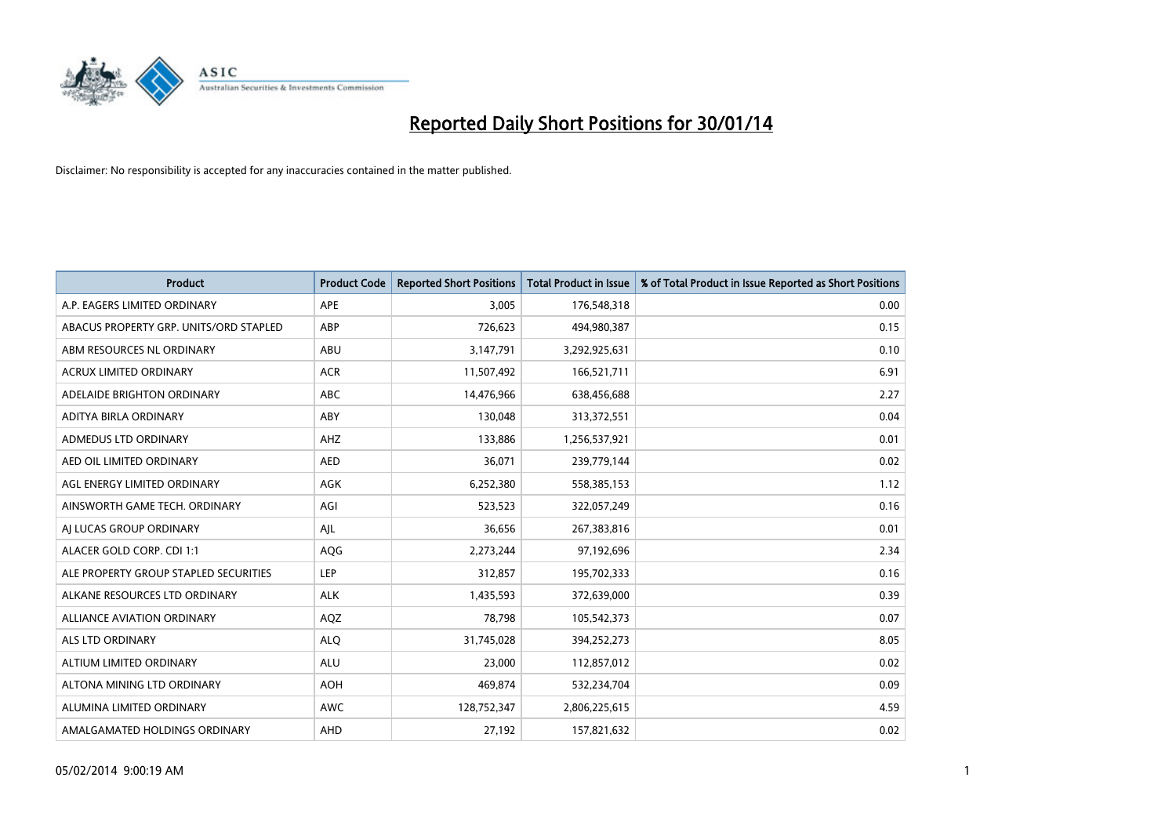

| <b>Product</b>                         | <b>Product Code</b> | <b>Reported Short Positions</b> | <b>Total Product in Issue</b> | % of Total Product in Issue Reported as Short Positions |
|----------------------------------------|---------------------|---------------------------------|-------------------------------|---------------------------------------------------------|
| A.P. EAGERS LIMITED ORDINARY           | APE                 | 3,005                           | 176,548,318                   | 0.00                                                    |
| ABACUS PROPERTY GRP. UNITS/ORD STAPLED | ABP                 | 726,623                         | 494,980,387                   | 0.15                                                    |
| ABM RESOURCES NL ORDINARY              | ABU                 | 3,147,791                       | 3,292,925,631                 | 0.10                                                    |
| ACRUX LIMITED ORDINARY                 | <b>ACR</b>          | 11,507,492                      | 166,521,711                   | 6.91                                                    |
| ADELAIDE BRIGHTON ORDINARY             | <b>ABC</b>          | 14,476,966                      | 638,456,688                   | 2.27                                                    |
| ADITYA BIRLA ORDINARY                  | ABY                 | 130,048                         | 313,372,551                   | 0.04                                                    |
| ADMEDUS LTD ORDINARY                   | AHZ                 | 133,886                         | 1,256,537,921                 | 0.01                                                    |
| AED OIL LIMITED ORDINARY               | <b>AED</b>          | 36,071                          | 239,779,144                   | 0.02                                                    |
| AGL ENERGY LIMITED ORDINARY            | <b>AGK</b>          | 6,252,380                       | 558,385,153                   | 1.12                                                    |
| AINSWORTH GAME TECH. ORDINARY          | AGI                 | 523,523                         | 322,057,249                   | 0.16                                                    |
| AI LUCAS GROUP ORDINARY                | AJL                 | 36,656                          | 267,383,816                   | 0.01                                                    |
| ALACER GOLD CORP. CDI 1:1              | AQG                 | 2,273,244                       | 97,192,696                    | 2.34                                                    |
| ALE PROPERTY GROUP STAPLED SECURITIES  | <b>LEP</b>          | 312,857                         | 195,702,333                   | 0.16                                                    |
| ALKANE RESOURCES LTD ORDINARY          | <b>ALK</b>          | 1,435,593                       | 372,639,000                   | 0.39                                                    |
| <b>ALLIANCE AVIATION ORDINARY</b>      | AQZ                 | 78,798                          | 105,542,373                   | 0.07                                                    |
| ALS LTD ORDINARY                       | <b>ALQ</b>          | 31,745,028                      | 394,252,273                   | 8.05                                                    |
| ALTIUM LIMITED ORDINARY                | <b>ALU</b>          | 23,000                          | 112,857,012                   | 0.02                                                    |
| ALTONA MINING LTD ORDINARY             | <b>AOH</b>          | 469,874                         | 532,234,704                   | 0.09                                                    |
| ALUMINA LIMITED ORDINARY               | <b>AWC</b>          | 128,752,347                     | 2,806,225,615                 | 4.59                                                    |
| AMALGAMATED HOLDINGS ORDINARY          | AHD                 | 27,192                          | 157,821,632                   | 0.02                                                    |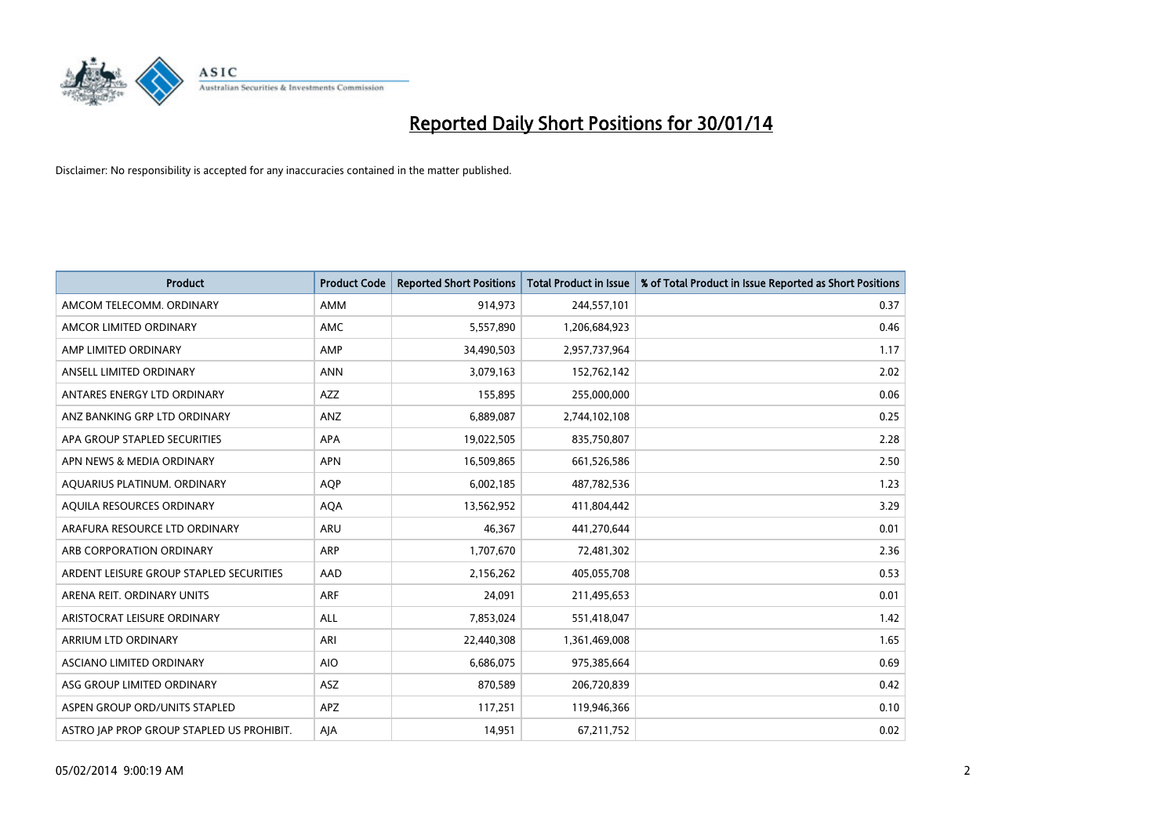

| <b>Product</b>                            | <b>Product Code</b> | <b>Reported Short Positions</b> | <b>Total Product in Issue</b> | % of Total Product in Issue Reported as Short Positions |
|-------------------------------------------|---------------------|---------------------------------|-------------------------------|---------------------------------------------------------|
| AMCOM TELECOMM, ORDINARY                  | <b>AMM</b>          | 914,973                         | 244,557,101                   | 0.37                                                    |
| AMCOR LIMITED ORDINARY                    | AMC                 | 5,557,890                       | 1,206,684,923                 | 0.46                                                    |
| AMP LIMITED ORDINARY                      | AMP                 | 34,490,503                      | 2,957,737,964                 | 1.17                                                    |
| ANSELL LIMITED ORDINARY                   | <b>ANN</b>          | 3,079,163                       | 152,762,142                   | 2.02                                                    |
| ANTARES ENERGY LTD ORDINARY               | AZZ                 | 155,895                         | 255,000,000                   | 0.06                                                    |
| ANZ BANKING GRP LTD ORDINARY              | ANZ                 | 6,889,087                       | 2,744,102,108                 | 0.25                                                    |
| APA GROUP STAPLED SECURITIES              | APA                 | 19,022,505                      | 835,750,807                   | 2.28                                                    |
| APN NEWS & MEDIA ORDINARY                 | <b>APN</b>          | 16,509,865                      | 661,526,586                   | 2.50                                                    |
| AQUARIUS PLATINUM. ORDINARY               | <b>AQP</b>          | 6,002,185                       | 487,782,536                   | 1.23                                                    |
| AQUILA RESOURCES ORDINARY                 | <b>AQA</b>          | 13,562,952                      | 411,804,442                   | 3.29                                                    |
| ARAFURA RESOURCE LTD ORDINARY             | <b>ARU</b>          | 46,367                          | 441,270,644                   | 0.01                                                    |
| ARB CORPORATION ORDINARY                  | <b>ARP</b>          | 1,707,670                       | 72,481,302                    | 2.36                                                    |
| ARDENT LEISURE GROUP STAPLED SECURITIES   | AAD                 | 2,156,262                       | 405,055,708                   | 0.53                                                    |
| ARENA REIT. ORDINARY UNITS                | ARF                 | 24,091                          | 211,495,653                   | 0.01                                                    |
| ARISTOCRAT LEISURE ORDINARY               | <b>ALL</b>          | 7,853,024                       | 551,418,047                   | 1.42                                                    |
| ARRIUM LTD ORDINARY                       | ARI                 | 22,440,308                      | 1,361,469,008                 | 1.65                                                    |
| ASCIANO LIMITED ORDINARY                  | <b>AIO</b>          | 6,686,075                       | 975,385,664                   | 0.69                                                    |
| ASG GROUP LIMITED ORDINARY                | ASZ                 | 870,589                         | 206,720,839                   | 0.42                                                    |
| ASPEN GROUP ORD/UNITS STAPLED             | APZ                 | 117,251                         | 119,946,366                   | 0.10                                                    |
| ASTRO JAP PROP GROUP STAPLED US PROHIBIT. | AJA                 | 14,951                          | 67,211,752                    | 0.02                                                    |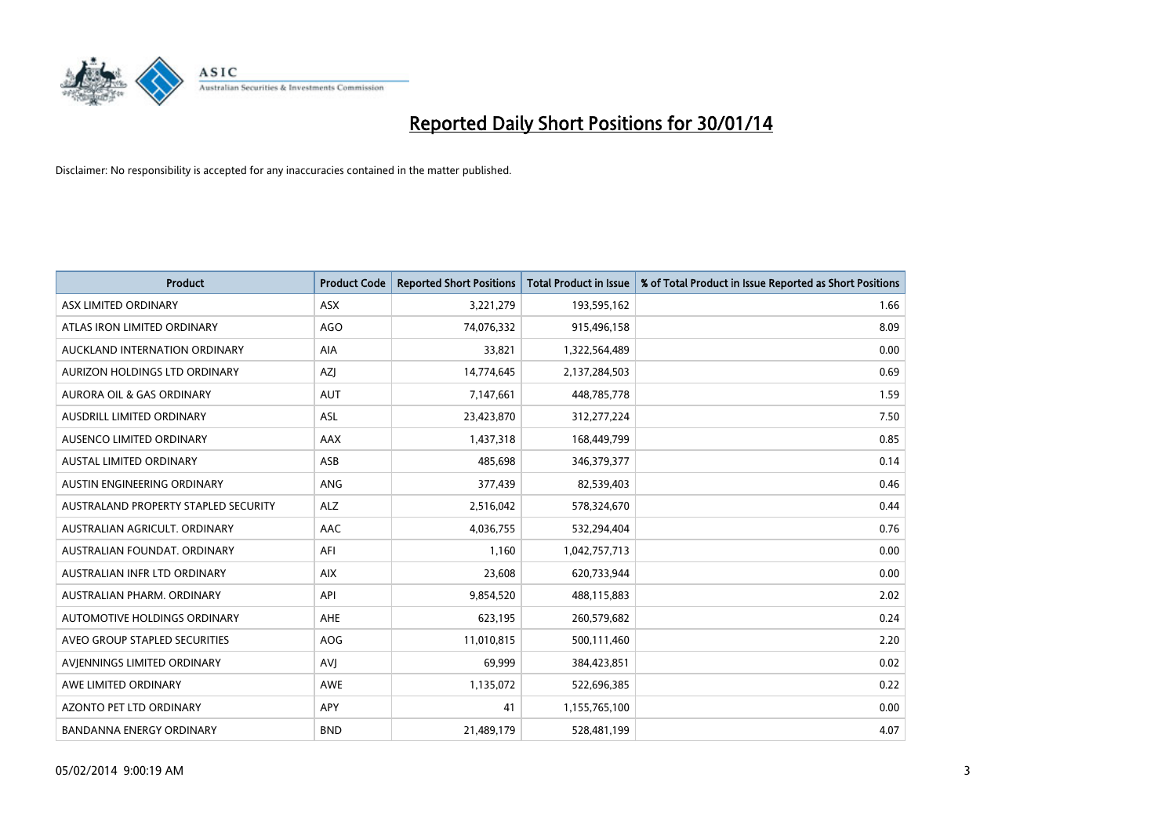

| <b>Product</b>                       | <b>Product Code</b> | <b>Reported Short Positions</b> | <b>Total Product in Issue</b> | % of Total Product in Issue Reported as Short Positions |
|--------------------------------------|---------------------|---------------------------------|-------------------------------|---------------------------------------------------------|
| ASX LIMITED ORDINARY                 | <b>ASX</b>          | 3,221,279                       | 193,595,162                   | 1.66                                                    |
| ATLAS IRON LIMITED ORDINARY          | <b>AGO</b>          | 74,076,332                      | 915,496,158                   | 8.09                                                    |
| AUCKLAND INTERNATION ORDINARY        | <b>AIA</b>          | 33,821                          | 1,322,564,489                 | 0.00                                                    |
| AURIZON HOLDINGS LTD ORDINARY        | AZJ                 | 14,774,645                      | 2,137,284,503                 | 0.69                                                    |
| <b>AURORA OIL &amp; GAS ORDINARY</b> | <b>AUT</b>          | 7,147,661                       | 448,785,778                   | 1.59                                                    |
| AUSDRILL LIMITED ORDINARY            | <b>ASL</b>          | 23,423,870                      | 312,277,224                   | 7.50                                                    |
| AUSENCO LIMITED ORDINARY             | AAX                 | 1,437,318                       | 168,449,799                   | 0.85                                                    |
| AUSTAL LIMITED ORDINARY              | ASB                 | 485,698                         | 346,379,377                   | 0.14                                                    |
| AUSTIN ENGINEERING ORDINARY          | ANG                 | 377,439                         | 82,539,403                    | 0.46                                                    |
| AUSTRALAND PROPERTY STAPLED SECURITY | <b>ALZ</b>          | 2,516,042                       | 578,324,670                   | 0.44                                                    |
| AUSTRALIAN AGRICULT. ORDINARY        | AAC                 | 4,036,755                       | 532,294,404                   | 0.76                                                    |
| AUSTRALIAN FOUNDAT, ORDINARY         | AFI                 | 1,160                           | 1,042,757,713                 | 0.00                                                    |
| AUSTRALIAN INFR LTD ORDINARY         | <b>AIX</b>          | 23,608                          | 620,733,944                   | 0.00                                                    |
| AUSTRALIAN PHARM. ORDINARY           | API                 | 9,854,520                       | 488,115,883                   | 2.02                                                    |
| AUTOMOTIVE HOLDINGS ORDINARY         | AHE                 | 623,195                         | 260,579,682                   | 0.24                                                    |
| AVEO GROUP STAPLED SECURITIES        | AOG                 | 11,010,815                      | 500,111,460                   | 2.20                                                    |
| AVIENNINGS LIMITED ORDINARY          | <b>AVJ</b>          | 69,999                          | 384,423,851                   | 0.02                                                    |
| AWE LIMITED ORDINARY                 | <b>AWE</b>          | 1,135,072                       | 522,696,385                   | 0.22                                                    |
| <b>AZONTO PET LTD ORDINARY</b>       | APY                 | 41                              | 1,155,765,100                 | 0.00                                                    |
| <b>BANDANNA ENERGY ORDINARY</b>      | <b>BND</b>          | 21,489,179                      | 528,481,199                   | 4.07                                                    |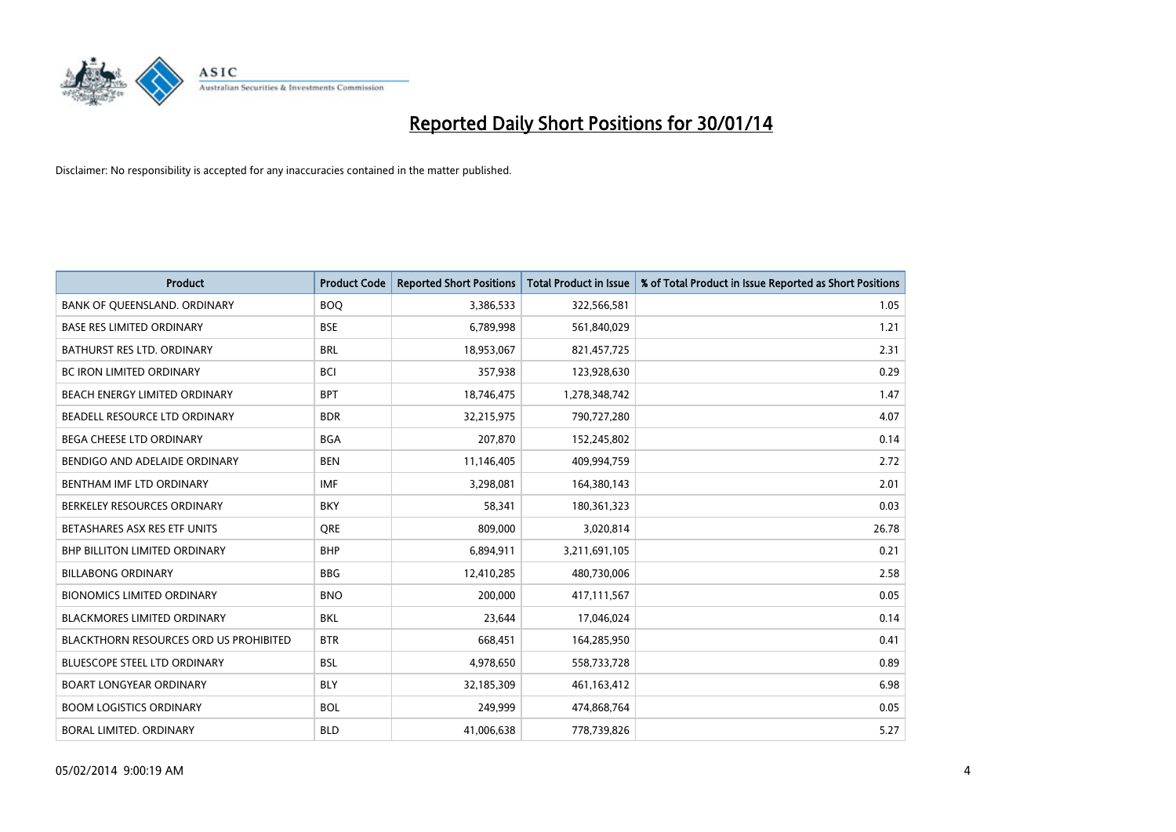

| <b>Product</b>                         | <b>Product Code</b> | <b>Reported Short Positions</b> | <b>Total Product in Issue</b> | % of Total Product in Issue Reported as Short Positions |
|----------------------------------------|---------------------|---------------------------------|-------------------------------|---------------------------------------------------------|
| BANK OF QUEENSLAND. ORDINARY           | <b>BOQ</b>          | 3,386,533                       | 322,566,581                   | 1.05                                                    |
| <b>BASE RES LIMITED ORDINARY</b>       | <b>BSE</b>          | 6,789,998                       | 561,840,029                   | 1.21                                                    |
| BATHURST RES LTD. ORDINARY             | <b>BRL</b>          | 18,953,067                      | 821,457,725                   | 2.31                                                    |
| BC IRON LIMITED ORDINARY               | <b>BCI</b>          | 357,938                         | 123,928,630                   | 0.29                                                    |
| BEACH ENERGY LIMITED ORDINARY          | <b>BPT</b>          | 18,746,475                      | 1,278,348,742                 | 1.47                                                    |
| BEADELL RESOURCE LTD ORDINARY          | <b>BDR</b>          | 32,215,975                      | 790,727,280                   | 4.07                                                    |
| <b>BEGA CHEESE LTD ORDINARY</b>        | <b>BGA</b>          | 207,870                         | 152,245,802                   | 0.14                                                    |
| BENDIGO AND ADELAIDE ORDINARY          | <b>BEN</b>          | 11,146,405                      | 409,994,759                   | 2.72                                                    |
| BENTHAM IMF LTD ORDINARY               | <b>IMF</b>          | 3,298,081                       | 164,380,143                   | 2.01                                                    |
| BERKELEY RESOURCES ORDINARY            | <b>BKY</b>          | 58,341                          | 180,361,323                   | 0.03                                                    |
| BETASHARES ASX RES ETF UNITS           | <b>ORE</b>          | 809,000                         | 3,020,814                     | 26.78                                                   |
| <b>BHP BILLITON LIMITED ORDINARY</b>   | <b>BHP</b>          | 6,894,911                       | 3,211,691,105                 | 0.21                                                    |
| <b>BILLABONG ORDINARY</b>              | <b>BBG</b>          | 12,410,285                      | 480,730,006                   | 2.58                                                    |
| <b>BIONOMICS LIMITED ORDINARY</b>      | <b>BNO</b>          | 200,000                         | 417,111,567                   | 0.05                                                    |
| <b>BLACKMORES LIMITED ORDINARY</b>     | <b>BKL</b>          | 23,644                          | 17,046,024                    | 0.14                                                    |
| BLACKTHORN RESOURCES ORD US PROHIBITED | <b>BTR</b>          | 668,451                         | 164,285,950                   | 0.41                                                    |
| BLUESCOPE STEEL LTD ORDINARY           | <b>BSL</b>          | 4,978,650                       | 558,733,728                   | 0.89                                                    |
| <b>BOART LONGYEAR ORDINARY</b>         | <b>BLY</b>          | 32,185,309                      | 461,163,412                   | 6.98                                                    |
| <b>BOOM LOGISTICS ORDINARY</b>         | <b>BOL</b>          | 249,999                         | 474,868,764                   | 0.05                                                    |
| BORAL LIMITED, ORDINARY                | <b>BLD</b>          | 41,006,638                      | 778,739,826                   | 5.27                                                    |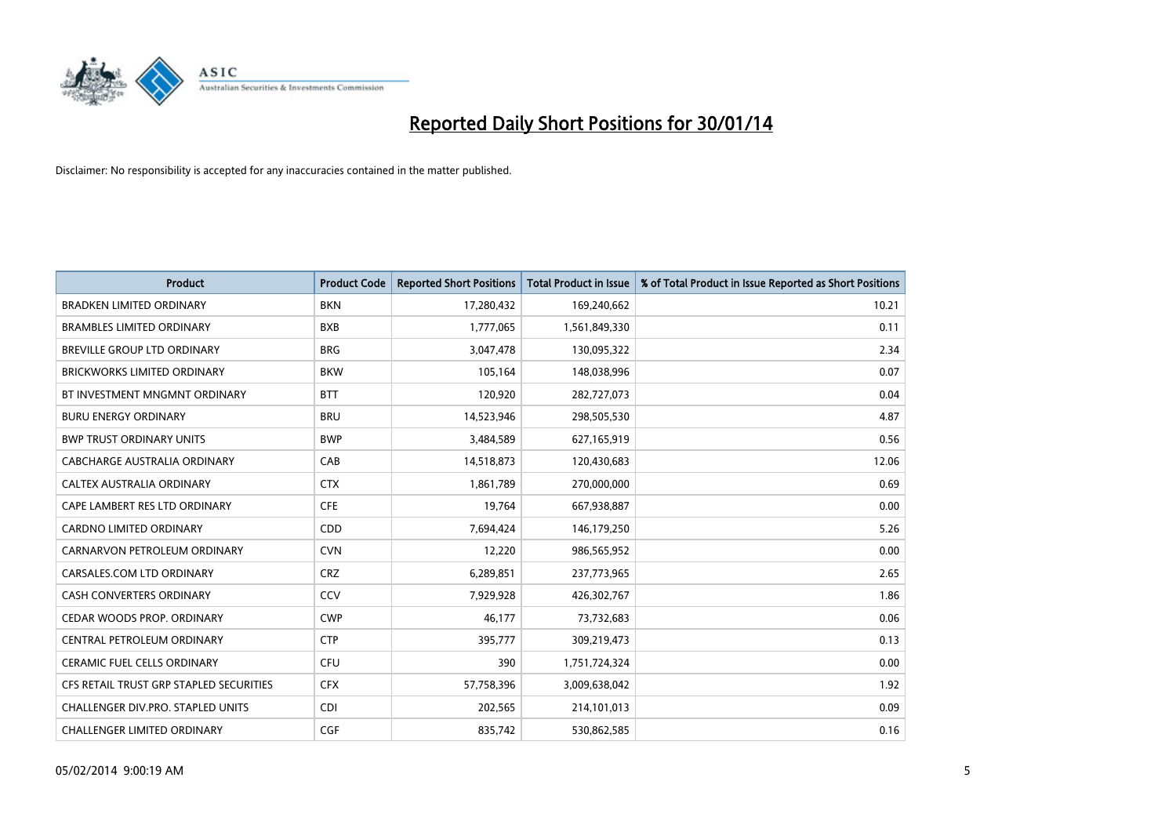

| <b>Product</b>                          | <b>Product Code</b> | <b>Reported Short Positions</b> | <b>Total Product in Issue</b> | % of Total Product in Issue Reported as Short Positions |
|-----------------------------------------|---------------------|---------------------------------|-------------------------------|---------------------------------------------------------|
| <b>BRADKEN LIMITED ORDINARY</b>         | <b>BKN</b>          | 17,280,432                      | 169,240,662                   | 10.21                                                   |
| <b>BRAMBLES LIMITED ORDINARY</b>        | <b>BXB</b>          | 1,777,065                       | 1,561,849,330                 | 0.11                                                    |
| BREVILLE GROUP LTD ORDINARY             | <b>BRG</b>          | 3,047,478                       | 130,095,322                   | 2.34                                                    |
| <b>BRICKWORKS LIMITED ORDINARY</b>      | <b>BKW</b>          | 105,164                         | 148,038,996                   | 0.07                                                    |
| BT INVESTMENT MNGMNT ORDINARY           | <b>BTT</b>          | 120,920                         | 282,727,073                   | 0.04                                                    |
| <b>BURU ENERGY ORDINARY</b>             | <b>BRU</b>          | 14,523,946                      | 298,505,530                   | 4.87                                                    |
| <b>BWP TRUST ORDINARY UNITS</b>         | <b>BWP</b>          | 3,484,589                       | 627,165,919                   | 0.56                                                    |
| CABCHARGE AUSTRALIA ORDINARY            | CAB                 | 14,518,873                      | 120,430,683                   | 12.06                                                   |
| CALTEX AUSTRALIA ORDINARY               | <b>CTX</b>          | 1,861,789                       | 270,000,000                   | 0.69                                                    |
| CAPE LAMBERT RES LTD ORDINARY           | <b>CFE</b>          | 19,764                          | 667,938,887                   | 0.00                                                    |
| CARDNO LIMITED ORDINARY                 | CDD                 | 7,694,424                       | 146,179,250                   | 5.26                                                    |
| CARNARVON PETROLEUM ORDINARY            | <b>CVN</b>          | 12,220                          | 986,565,952                   | 0.00                                                    |
| CARSALES.COM LTD ORDINARY               | <b>CRZ</b>          | 6,289,851                       | 237,773,965                   | 2.65                                                    |
| <b>CASH CONVERTERS ORDINARY</b>         | CCV                 | 7,929,928                       | 426,302,767                   | 1.86                                                    |
| CEDAR WOODS PROP. ORDINARY              | <b>CWP</b>          | 46,177                          | 73,732,683                    | 0.06                                                    |
| CENTRAL PETROLEUM ORDINARY              | <b>CTP</b>          | 395,777                         | 309,219,473                   | 0.13                                                    |
| <b>CERAMIC FUEL CELLS ORDINARY</b>      | <b>CFU</b>          | 390                             | 1,751,724,324                 | 0.00                                                    |
| CFS RETAIL TRUST GRP STAPLED SECURITIES | <b>CFX</b>          | 57,758,396                      | 3,009,638,042                 | 1.92                                                    |
| CHALLENGER DIV.PRO. STAPLED UNITS       | <b>CDI</b>          | 202,565                         | 214,101,013                   | 0.09                                                    |
| <b>CHALLENGER LIMITED ORDINARY</b>      | <b>CGF</b>          | 835,742                         | 530,862,585                   | 0.16                                                    |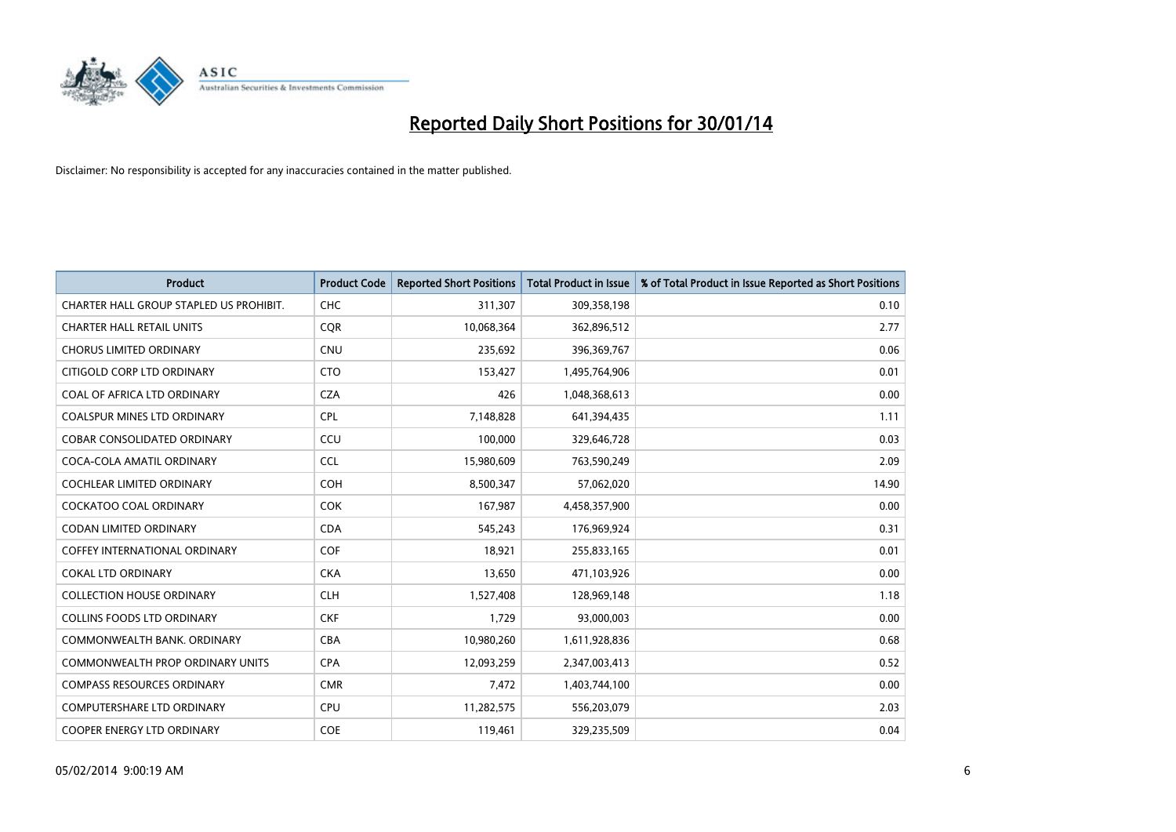

| <b>Product</b>                          | <b>Product Code</b> | <b>Reported Short Positions</b> | <b>Total Product in Issue</b> | % of Total Product in Issue Reported as Short Positions |
|-----------------------------------------|---------------------|---------------------------------|-------------------------------|---------------------------------------------------------|
| CHARTER HALL GROUP STAPLED US PROHIBIT. | <b>CHC</b>          | 311,307                         | 309,358,198                   | 0.10                                                    |
| <b>CHARTER HALL RETAIL UNITS</b>        | <b>COR</b>          | 10,068,364                      | 362,896,512                   | 2.77                                                    |
| <b>CHORUS LIMITED ORDINARY</b>          | <b>CNU</b>          | 235,692                         | 396,369,767                   | 0.06                                                    |
| CITIGOLD CORP LTD ORDINARY              | <b>CTO</b>          | 153,427                         | 1,495,764,906                 | 0.01                                                    |
| COAL OF AFRICA LTD ORDINARY             | <b>CZA</b>          | 426                             | 1,048,368,613                 | 0.00                                                    |
| <b>COALSPUR MINES LTD ORDINARY</b>      | <b>CPL</b>          | 7,148,828                       | 641,394,435                   | 1.11                                                    |
| <b>COBAR CONSOLIDATED ORDINARY</b>      | CCU                 | 100,000                         | 329,646,728                   | 0.03                                                    |
| COCA-COLA AMATIL ORDINARY               | <b>CCL</b>          | 15,980,609                      | 763,590,249                   | 2.09                                                    |
| COCHLEAR LIMITED ORDINARY               | <b>COH</b>          | 8,500,347                       | 57,062,020                    | 14.90                                                   |
| <b>COCKATOO COAL ORDINARY</b>           | <b>COK</b>          | 167,987                         | 4,458,357,900                 | 0.00                                                    |
| CODAN LIMITED ORDINARY                  | <b>CDA</b>          | 545,243                         | 176,969,924                   | 0.31                                                    |
| <b>COFFEY INTERNATIONAL ORDINARY</b>    | <b>COF</b>          | 18,921                          | 255,833,165                   | 0.01                                                    |
| <b>COKAL LTD ORDINARY</b>               | <b>CKA</b>          | 13,650                          | 471,103,926                   | 0.00                                                    |
| <b>COLLECTION HOUSE ORDINARY</b>        | <b>CLH</b>          | 1,527,408                       | 128,969,148                   | 1.18                                                    |
| <b>COLLINS FOODS LTD ORDINARY</b>       | <b>CKF</b>          | 1,729                           | 93,000,003                    | 0.00                                                    |
| COMMONWEALTH BANK, ORDINARY             | <b>CBA</b>          | 10,980,260                      | 1,611,928,836                 | 0.68                                                    |
| COMMONWEALTH PROP ORDINARY UNITS        | <b>CPA</b>          | 12,093,259                      | 2,347,003,413                 | 0.52                                                    |
| <b>COMPASS RESOURCES ORDINARY</b>       | <b>CMR</b>          | 7,472                           | 1,403,744,100                 | 0.00                                                    |
| <b>COMPUTERSHARE LTD ORDINARY</b>       | <b>CPU</b>          | 11,282,575                      | 556,203,079                   | 2.03                                                    |
| COOPER ENERGY LTD ORDINARY              | <b>COE</b>          | 119,461                         | 329,235,509                   | 0.04                                                    |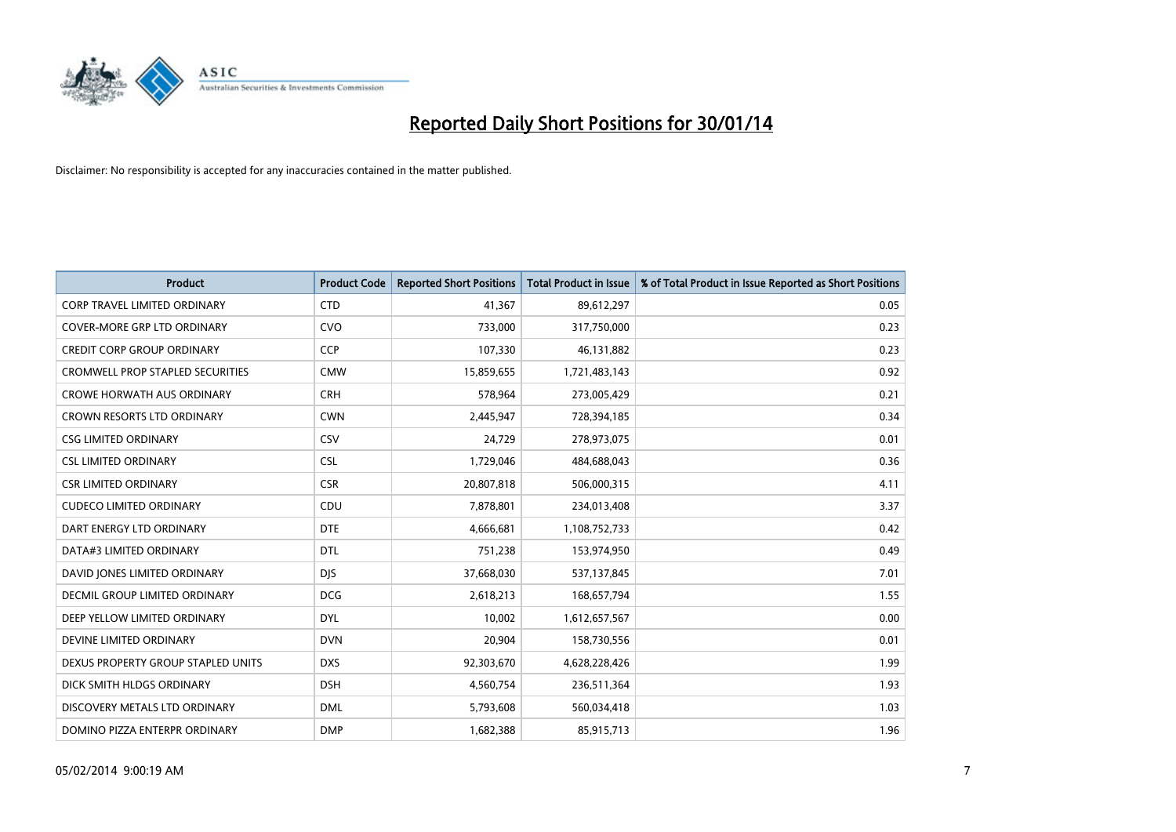

| <b>Product</b>                          | <b>Product Code</b> | <b>Reported Short Positions</b> | <b>Total Product in Issue</b> | % of Total Product in Issue Reported as Short Positions |
|-----------------------------------------|---------------------|---------------------------------|-------------------------------|---------------------------------------------------------|
| <b>CORP TRAVEL LIMITED ORDINARY</b>     | <b>CTD</b>          | 41,367                          | 89,612,297                    | 0.05                                                    |
| COVER-MORE GRP LTD ORDINARY             | <b>CVO</b>          | 733,000                         | 317,750,000                   | 0.23                                                    |
| <b>CREDIT CORP GROUP ORDINARY</b>       | <b>CCP</b>          | 107,330                         | 46,131,882                    | 0.23                                                    |
| <b>CROMWELL PROP STAPLED SECURITIES</b> | <b>CMW</b>          | 15,859,655                      | 1,721,483,143                 | 0.92                                                    |
| <b>CROWE HORWATH AUS ORDINARY</b>       | <b>CRH</b>          | 578,964                         | 273,005,429                   | 0.21                                                    |
| <b>CROWN RESORTS LTD ORDINARY</b>       | <b>CWN</b>          | 2,445,947                       | 728,394,185                   | 0.34                                                    |
| <b>CSG LIMITED ORDINARY</b>             | CSV                 | 24,729                          | 278,973,075                   | 0.01                                                    |
| <b>CSL LIMITED ORDINARY</b>             | <b>CSL</b>          | 1,729,046                       | 484,688,043                   | 0.36                                                    |
| <b>CSR LIMITED ORDINARY</b>             | <b>CSR</b>          | 20,807,818                      | 506,000,315                   | 4.11                                                    |
| <b>CUDECO LIMITED ORDINARY</b>          | CDU                 | 7,878,801                       | 234,013,408                   | 3.37                                                    |
| DART ENERGY LTD ORDINARY                | <b>DTE</b>          | 4,666,681                       | 1,108,752,733                 | 0.42                                                    |
| DATA#3 LIMITED ORDINARY                 | DTL                 | 751,238                         | 153,974,950                   | 0.49                                                    |
| DAVID JONES LIMITED ORDINARY            | <b>DJS</b>          | 37,668,030                      | 537,137,845                   | 7.01                                                    |
| <b>DECMIL GROUP LIMITED ORDINARY</b>    | <b>DCG</b>          | 2,618,213                       | 168,657,794                   | 1.55                                                    |
| DEEP YELLOW LIMITED ORDINARY            | <b>DYL</b>          | 10,002                          | 1,612,657,567                 | 0.00                                                    |
| DEVINE LIMITED ORDINARY                 | <b>DVN</b>          | 20,904                          | 158,730,556                   | 0.01                                                    |
| DEXUS PROPERTY GROUP STAPLED UNITS      | <b>DXS</b>          | 92,303,670                      | 4,628,228,426                 | 1.99                                                    |
| DICK SMITH HLDGS ORDINARY               | <b>DSH</b>          | 4,560,754                       | 236,511,364                   | 1.93                                                    |
| DISCOVERY METALS LTD ORDINARY           | <b>DML</b>          | 5,793,608                       | 560,034,418                   | 1.03                                                    |
| DOMINO PIZZA ENTERPR ORDINARY           | <b>DMP</b>          | 1,682,388                       | 85,915,713                    | 1.96                                                    |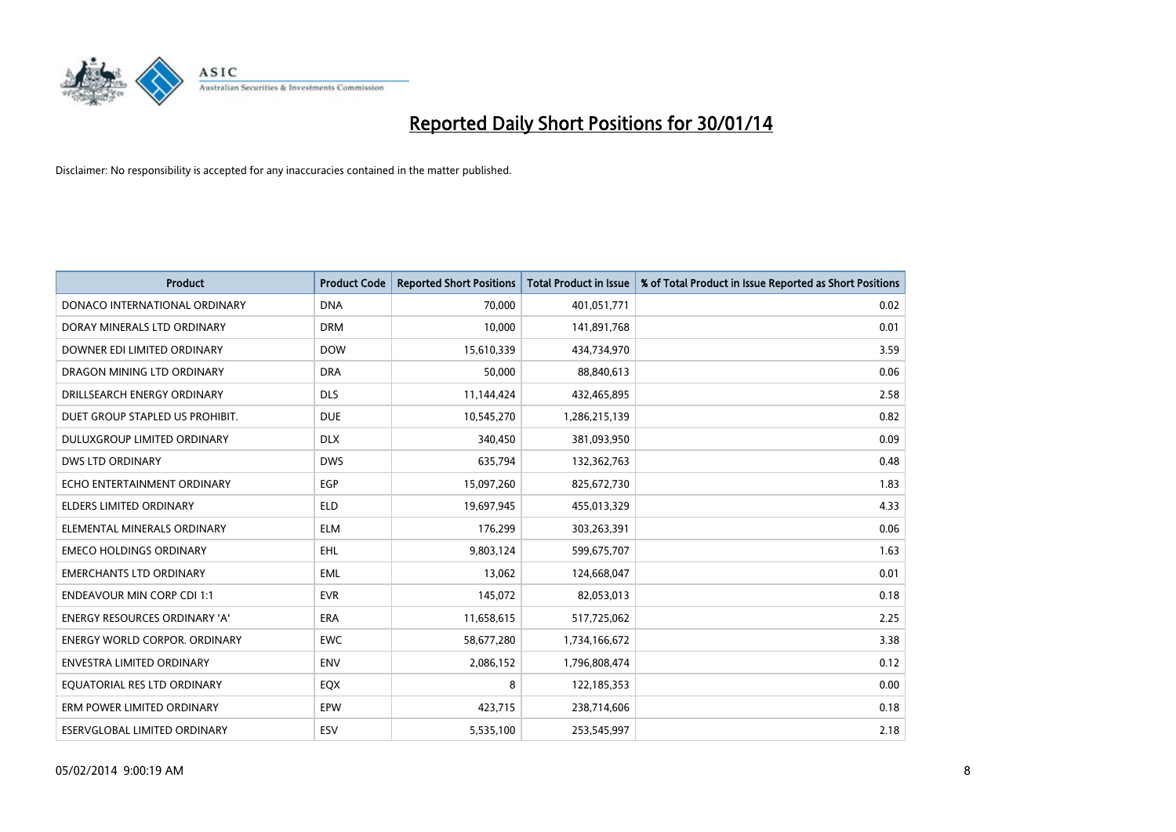

| <b>Product</b>                       | <b>Product Code</b> | <b>Reported Short Positions</b> | <b>Total Product in Issue</b> | % of Total Product in Issue Reported as Short Positions |
|--------------------------------------|---------------------|---------------------------------|-------------------------------|---------------------------------------------------------|
| DONACO INTERNATIONAL ORDINARY        | <b>DNA</b>          | 70,000                          | 401,051,771                   | 0.02                                                    |
| DORAY MINERALS LTD ORDINARY          | <b>DRM</b>          | 10,000                          | 141,891,768                   | 0.01                                                    |
| DOWNER EDI LIMITED ORDINARY          | <b>DOW</b>          | 15,610,339                      | 434,734,970                   | 3.59                                                    |
| DRAGON MINING LTD ORDINARY           | <b>DRA</b>          | 50,000                          | 88,840,613                    | 0.06                                                    |
| DRILLSEARCH ENERGY ORDINARY          | <b>DLS</b>          | 11,144,424                      | 432,465,895                   | 2.58                                                    |
| DUET GROUP STAPLED US PROHIBIT.      | <b>DUE</b>          | 10,545,270                      | 1,286,215,139                 | 0.82                                                    |
| <b>DULUXGROUP LIMITED ORDINARY</b>   | <b>DLX</b>          | 340,450                         | 381,093,950                   | 0.09                                                    |
| <b>DWS LTD ORDINARY</b>              | <b>DWS</b>          | 635,794                         | 132,362,763                   | 0.48                                                    |
| ECHO ENTERTAINMENT ORDINARY          | <b>EGP</b>          | 15,097,260                      | 825,672,730                   | 1.83                                                    |
| <b>ELDERS LIMITED ORDINARY</b>       | <b>ELD</b>          | 19,697,945                      | 455,013,329                   | 4.33                                                    |
| ELEMENTAL MINERALS ORDINARY          | <b>ELM</b>          | 176,299                         | 303,263,391                   | 0.06                                                    |
| <b>EMECO HOLDINGS ORDINARY</b>       | <b>EHL</b>          | 9,803,124                       | 599,675,707                   | 1.63                                                    |
| <b>EMERCHANTS LTD ORDINARY</b>       | <b>EML</b>          | 13,062                          | 124,668,047                   | 0.01                                                    |
| <b>ENDEAVOUR MIN CORP CDI 1:1</b>    | <b>EVR</b>          | 145,072                         | 82,053,013                    | 0.18                                                    |
| <b>ENERGY RESOURCES ORDINARY 'A'</b> | <b>ERA</b>          | 11,658,615                      | 517,725,062                   | 2.25                                                    |
| <b>ENERGY WORLD CORPOR. ORDINARY</b> | <b>EWC</b>          | 58,677,280                      | 1,734,166,672                 | 3.38                                                    |
| ENVESTRA LIMITED ORDINARY            | <b>ENV</b>          | 2,086,152                       | 1,796,808,474                 | 0.12                                                    |
| EQUATORIAL RES LTD ORDINARY          | EQX                 | 8                               | 122,185,353                   | 0.00                                                    |
| ERM POWER LIMITED ORDINARY           | EPW                 | 423,715                         | 238,714,606                   | 0.18                                                    |
| <b>ESERVGLOBAL LIMITED ORDINARY</b>  | ESV                 | 5,535,100                       | 253,545,997                   | 2.18                                                    |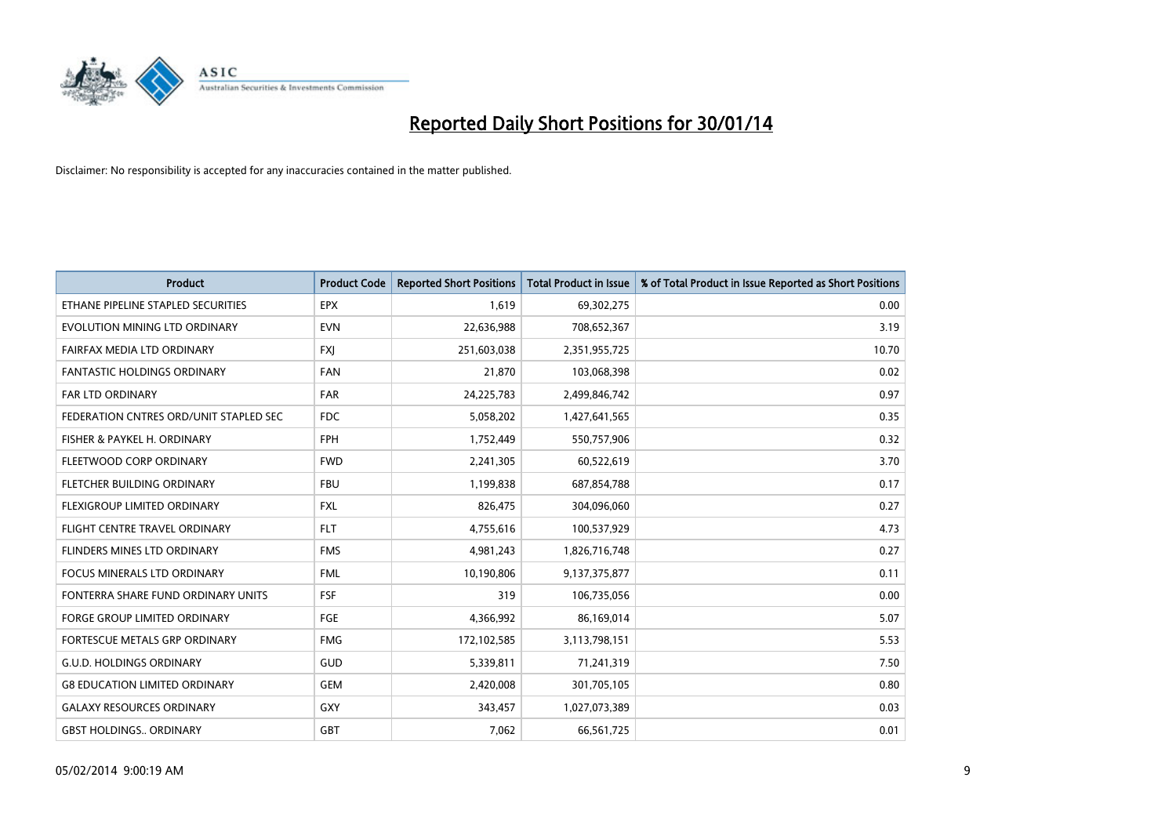

| <b>Product</b>                         | <b>Product Code</b> | <b>Reported Short Positions</b> | <b>Total Product in Issue</b> | % of Total Product in Issue Reported as Short Positions |
|----------------------------------------|---------------------|---------------------------------|-------------------------------|---------------------------------------------------------|
| ETHANE PIPELINE STAPLED SECURITIES     | <b>EPX</b>          | 1,619                           | 69,302,275                    | 0.00                                                    |
| EVOLUTION MINING LTD ORDINARY          | <b>EVN</b>          | 22,636,988                      | 708,652,367                   | 3.19                                                    |
| FAIRFAX MEDIA LTD ORDINARY             | <b>FXI</b>          | 251,603,038                     | 2,351,955,725                 | 10.70                                                   |
| FANTASTIC HOLDINGS ORDINARY            | <b>FAN</b>          | 21,870                          | 103,068,398                   | 0.02                                                    |
| <b>FAR LTD ORDINARY</b>                | <b>FAR</b>          | 24,225,783                      | 2,499,846,742                 | 0.97                                                    |
| FEDERATION CNTRES ORD/UNIT STAPLED SEC | <b>FDC</b>          | 5,058,202                       | 1,427,641,565                 | 0.35                                                    |
| FISHER & PAYKEL H. ORDINARY            | <b>FPH</b>          | 1,752,449                       | 550,757,906                   | 0.32                                                    |
| FLEETWOOD CORP ORDINARY                | <b>FWD</b>          | 2,241,305                       | 60,522,619                    | 3.70                                                    |
| FLETCHER BUILDING ORDINARY             | <b>FBU</b>          | 1,199,838                       | 687,854,788                   | 0.17                                                    |
| FLEXIGROUP LIMITED ORDINARY            | <b>FXL</b>          | 826,475                         | 304,096,060                   | 0.27                                                    |
| FLIGHT CENTRE TRAVEL ORDINARY          | <b>FLT</b>          | 4,755,616                       | 100,537,929                   | 4.73                                                    |
| FLINDERS MINES LTD ORDINARY            | <b>FMS</b>          | 4,981,243                       | 1,826,716,748                 | 0.27                                                    |
| <b>FOCUS MINERALS LTD ORDINARY</b>     | <b>FML</b>          | 10,190,806                      | 9,137,375,877                 | 0.11                                                    |
| FONTERRA SHARE FUND ORDINARY UNITS     | <b>FSF</b>          | 319                             | 106,735,056                   | 0.00                                                    |
| <b>FORGE GROUP LIMITED ORDINARY</b>    | FGE                 | 4,366,992                       | 86,169,014                    | 5.07                                                    |
| FORTESCUE METALS GRP ORDINARY          | <b>FMG</b>          | 172,102,585                     | 3,113,798,151                 | 5.53                                                    |
| <b>G.U.D. HOLDINGS ORDINARY</b>        | GUD                 | 5,339,811                       | 71,241,319                    | 7.50                                                    |
| <b>G8 EDUCATION LIMITED ORDINARY</b>   | <b>GEM</b>          | 2,420,008                       | 301,705,105                   | 0.80                                                    |
| <b>GALAXY RESOURCES ORDINARY</b>       | GXY                 | 343,457                         | 1,027,073,389                 | 0.03                                                    |
| <b>GBST HOLDINGS ORDINARY</b>          | GBT                 | 7,062                           | 66,561,725                    | 0.01                                                    |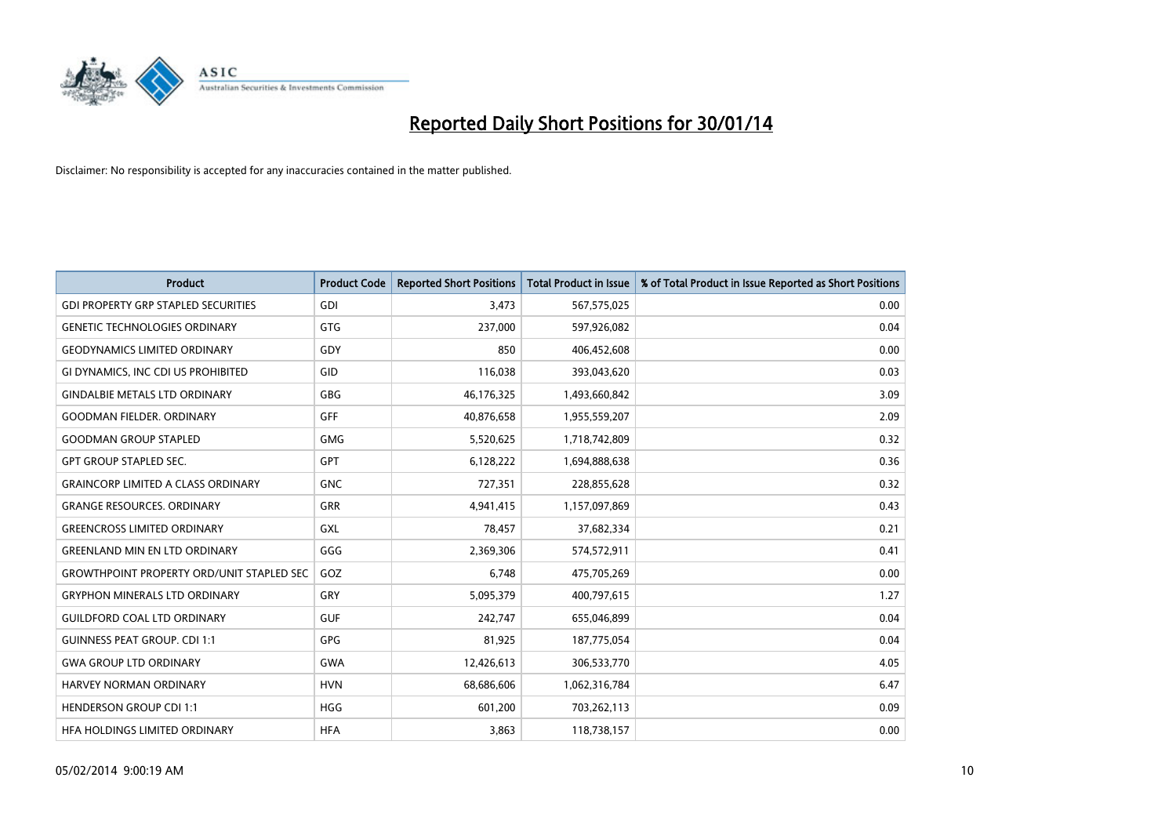

| Product                                          | <b>Product Code</b> | <b>Reported Short Positions</b> | <b>Total Product in Issue</b> | % of Total Product in Issue Reported as Short Positions |
|--------------------------------------------------|---------------------|---------------------------------|-------------------------------|---------------------------------------------------------|
| <b>GDI PROPERTY GRP STAPLED SECURITIES</b>       | GDI                 | 3,473                           | 567,575,025                   | 0.00                                                    |
| <b>GENETIC TECHNOLOGIES ORDINARY</b>             | GTG                 | 237,000                         | 597,926,082                   | 0.04                                                    |
| <b>GEODYNAMICS LIMITED ORDINARY</b>              | GDY                 | 850                             | 406,452,608                   | 0.00                                                    |
| GI DYNAMICS, INC CDI US PROHIBITED               | GID                 | 116,038                         | 393,043,620                   | 0.03                                                    |
| <b>GINDALBIE METALS LTD ORDINARY</b>             | GBG                 | 46,176,325                      | 1,493,660,842                 | 3.09                                                    |
| <b>GOODMAN FIELDER, ORDINARY</b>                 | GFF                 | 40,876,658                      | 1,955,559,207                 | 2.09                                                    |
| <b>GOODMAN GROUP STAPLED</b>                     | <b>GMG</b>          | 5,520,625                       | 1,718,742,809                 | 0.32                                                    |
| <b>GPT GROUP STAPLED SEC.</b>                    | <b>GPT</b>          | 6,128,222                       | 1,694,888,638                 | 0.36                                                    |
| <b>GRAINCORP LIMITED A CLASS ORDINARY</b>        | <b>GNC</b>          | 727,351                         | 228,855,628                   | 0.32                                                    |
| <b>GRANGE RESOURCES, ORDINARY</b>                | GRR                 | 4,941,415                       | 1,157,097,869                 | 0.43                                                    |
| <b>GREENCROSS LIMITED ORDINARY</b>               | GXL                 | 78,457                          | 37,682,334                    | 0.21                                                    |
| <b>GREENLAND MIN EN LTD ORDINARY</b>             | GGG                 | 2,369,306                       | 574,572,911                   | 0.41                                                    |
| <b>GROWTHPOINT PROPERTY ORD/UNIT STAPLED SEC</b> | GOZ                 | 6,748                           | 475,705,269                   | 0.00                                                    |
| <b>GRYPHON MINERALS LTD ORDINARY</b>             | GRY                 | 5,095,379                       | 400,797,615                   | 1.27                                                    |
| <b>GUILDFORD COAL LTD ORDINARY</b>               | <b>GUF</b>          | 242,747                         | 655,046,899                   | 0.04                                                    |
| <b>GUINNESS PEAT GROUP. CDI 1:1</b>              | GPG                 | 81,925                          | 187,775,054                   | 0.04                                                    |
| <b>GWA GROUP LTD ORDINARY</b>                    | <b>GWA</b>          | 12,426,613                      | 306,533,770                   | 4.05                                                    |
| <b>HARVEY NORMAN ORDINARY</b>                    | <b>HVN</b>          | 68,686,606                      | 1,062,316,784                 | 6.47                                                    |
| <b>HENDERSON GROUP CDI 1:1</b>                   | <b>HGG</b>          | 601,200                         | 703,262,113                   | 0.09                                                    |
| HFA HOLDINGS LIMITED ORDINARY                    | <b>HFA</b>          | 3,863                           | 118,738,157                   | 0.00                                                    |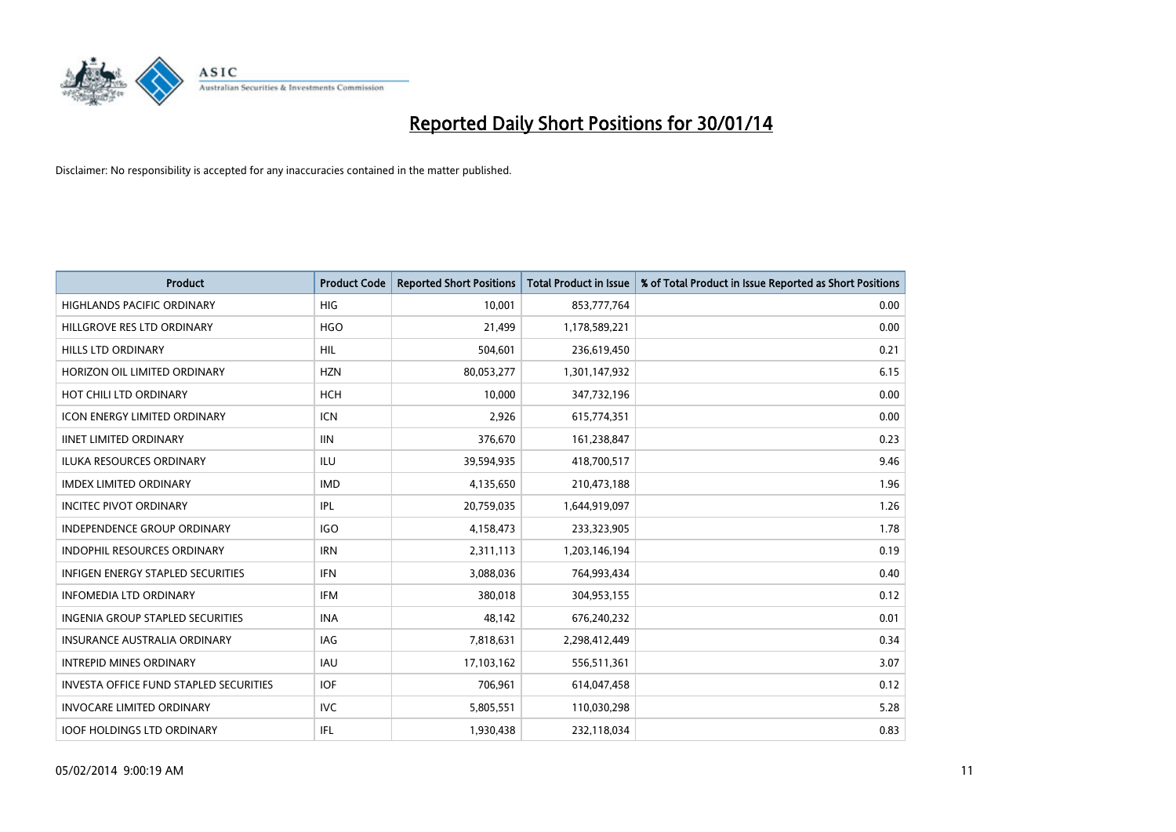

| <b>Product</b>                                | <b>Product Code</b> | <b>Reported Short Positions</b> | <b>Total Product in Issue</b> | % of Total Product in Issue Reported as Short Positions |
|-----------------------------------------------|---------------------|---------------------------------|-------------------------------|---------------------------------------------------------|
| <b>HIGHLANDS PACIFIC ORDINARY</b>             | <b>HIG</b>          | 10,001                          | 853,777,764                   | 0.00                                                    |
| HILLGROVE RES LTD ORDINARY                    | <b>HGO</b>          | 21,499                          | 1,178,589,221                 | 0.00                                                    |
| <b>HILLS LTD ORDINARY</b>                     | <b>HIL</b>          | 504,601                         | 236,619,450                   | 0.21                                                    |
| HORIZON OIL LIMITED ORDINARY                  | <b>HZN</b>          | 80,053,277                      | 1,301,147,932                 | 6.15                                                    |
| HOT CHILI LTD ORDINARY                        | <b>HCH</b>          | 10,000                          | 347,732,196                   | 0.00                                                    |
| <b>ICON ENERGY LIMITED ORDINARY</b>           | <b>ICN</b>          | 2,926                           | 615,774,351                   | 0.00                                                    |
| <b>IINET LIMITED ORDINARY</b>                 | <b>IIN</b>          | 376,670                         | 161,238,847                   | 0.23                                                    |
| <b>ILUKA RESOURCES ORDINARY</b>               | ILU                 | 39,594,935                      | 418,700,517                   | 9.46                                                    |
| <b>IMDEX LIMITED ORDINARY</b>                 | <b>IMD</b>          | 4,135,650                       | 210,473,188                   | 1.96                                                    |
| <b>INCITEC PIVOT ORDINARY</b>                 | IPL                 | 20,759,035                      | 1,644,919,097                 | 1.26                                                    |
| INDEPENDENCE GROUP ORDINARY                   | <b>IGO</b>          | 4,158,473                       | 233,323,905                   | 1.78                                                    |
| <b>INDOPHIL RESOURCES ORDINARY</b>            | <b>IRN</b>          | 2,311,113                       | 1,203,146,194                 | 0.19                                                    |
| <b>INFIGEN ENERGY STAPLED SECURITIES</b>      | <b>IFN</b>          | 3,088,036                       | 764,993,434                   | 0.40                                                    |
| <b>INFOMEDIA LTD ORDINARY</b>                 | <b>IFM</b>          | 380,018                         | 304,953,155                   | 0.12                                                    |
| <b>INGENIA GROUP STAPLED SECURITIES</b>       | <b>INA</b>          | 48,142                          | 676,240,232                   | 0.01                                                    |
| INSURANCE AUSTRALIA ORDINARY                  | IAG                 | 7,818,631                       | 2,298,412,449                 | 0.34                                                    |
| <b>INTREPID MINES ORDINARY</b>                | <b>IAU</b>          | 17,103,162                      | 556,511,361                   | 3.07                                                    |
| <b>INVESTA OFFICE FUND STAPLED SECURITIES</b> | <b>IOF</b>          | 706,961                         | 614,047,458                   | 0.12                                                    |
| <b>INVOCARE LIMITED ORDINARY</b>              | <b>IVC</b>          | 5,805,551                       | 110,030,298                   | 5.28                                                    |
| <b>IOOF HOLDINGS LTD ORDINARY</b>             | IFL                 | 1,930,438                       | 232,118,034                   | 0.83                                                    |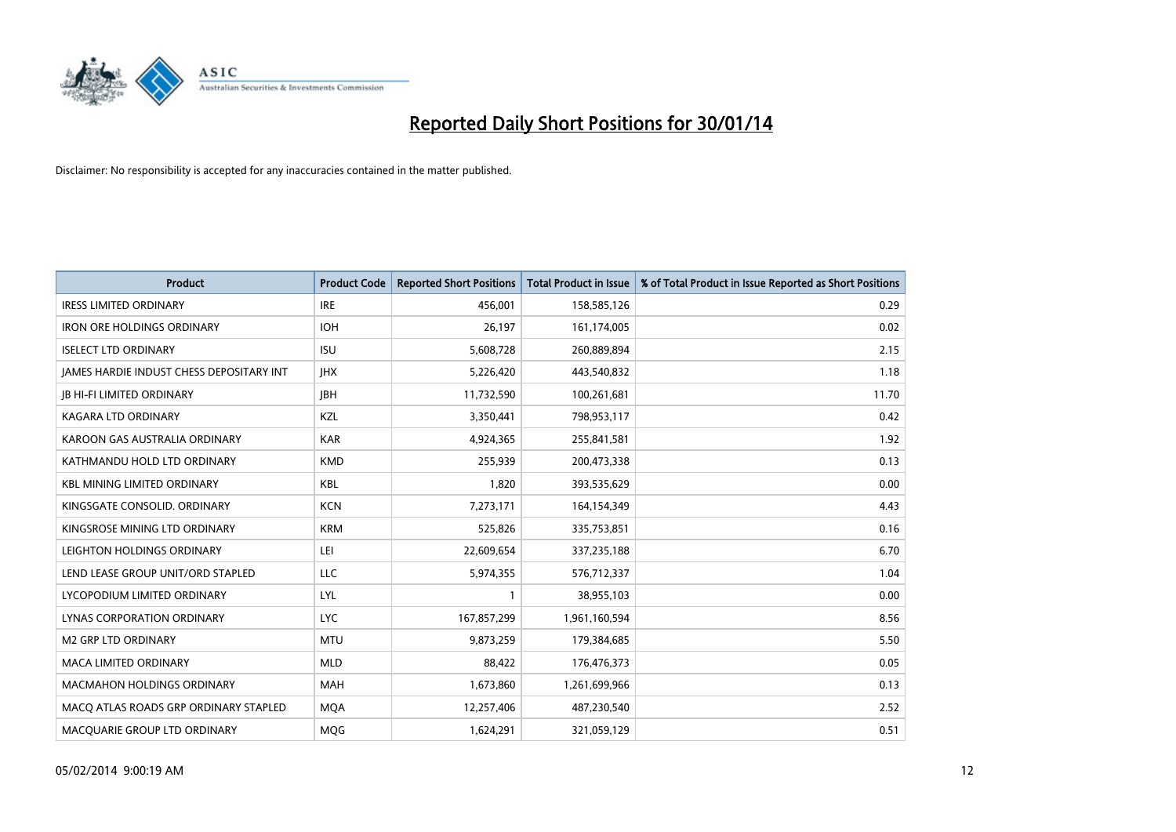

| <b>Product</b>                           | <b>Product Code</b> | <b>Reported Short Positions</b> | <b>Total Product in Issue</b> | % of Total Product in Issue Reported as Short Positions |
|------------------------------------------|---------------------|---------------------------------|-------------------------------|---------------------------------------------------------|
| <b>IRESS LIMITED ORDINARY</b>            | <b>IRE</b>          | 456.001                         | 158,585,126                   | 0.29                                                    |
| <b>IRON ORE HOLDINGS ORDINARY</b>        | <b>IOH</b>          | 26,197                          | 161,174,005                   | 0.02                                                    |
| <b>ISELECT LTD ORDINARY</b>              | <b>ISU</b>          | 5,608,728                       | 260,889,894                   | 2.15                                                    |
| JAMES HARDIE INDUST CHESS DEPOSITARY INT | <b>IHX</b>          | 5,226,420                       | 443,540,832                   | 1.18                                                    |
| <b>JB HI-FI LIMITED ORDINARY</b>         | <b>JBH</b>          | 11,732,590                      | 100,261,681                   | 11.70                                                   |
| <b>KAGARA LTD ORDINARY</b>               | <b>KZL</b>          | 3,350,441                       | 798,953,117                   | 0.42                                                    |
| KAROON GAS AUSTRALIA ORDINARY            | <b>KAR</b>          | 4,924,365                       | 255,841,581                   | 1.92                                                    |
| KATHMANDU HOLD LTD ORDINARY              | <b>KMD</b>          | 255,939                         | 200,473,338                   | 0.13                                                    |
| <b>KBL MINING LIMITED ORDINARY</b>       | <b>KBL</b>          | 1,820                           | 393,535,629                   | 0.00                                                    |
| KINGSGATE CONSOLID. ORDINARY             | <b>KCN</b>          | 7,273,171                       | 164,154,349                   | 4.43                                                    |
| KINGSROSE MINING LTD ORDINARY            | <b>KRM</b>          | 525,826                         | 335,753,851                   | 0.16                                                    |
| LEIGHTON HOLDINGS ORDINARY               | LEI                 | 22,609,654                      | 337,235,188                   | 6.70                                                    |
| LEND LEASE GROUP UNIT/ORD STAPLED        | <b>LLC</b>          | 5,974,355                       | 576,712,337                   | 1.04                                                    |
| LYCOPODIUM LIMITED ORDINARY              | LYL                 | $\mathbf{1}$                    | 38,955,103                    | 0.00                                                    |
| LYNAS CORPORATION ORDINARY               | <b>LYC</b>          | 167,857,299                     | 1,961,160,594                 | 8.56                                                    |
| <b>M2 GRP LTD ORDINARY</b>               | <b>MTU</b>          | 9,873,259                       | 179,384,685                   | 5.50                                                    |
| MACA LIMITED ORDINARY                    | <b>MLD</b>          | 88,422                          | 176,476,373                   | 0.05                                                    |
| MACMAHON HOLDINGS ORDINARY               | <b>MAH</b>          | 1,673,860                       | 1,261,699,966                 | 0.13                                                    |
| MACO ATLAS ROADS GRP ORDINARY STAPLED    | <b>MOA</b>          | 12,257,406                      | 487,230,540                   | 2.52                                                    |
| MACQUARIE GROUP LTD ORDINARY             | MQG                 | 1,624,291                       | 321,059,129                   | 0.51                                                    |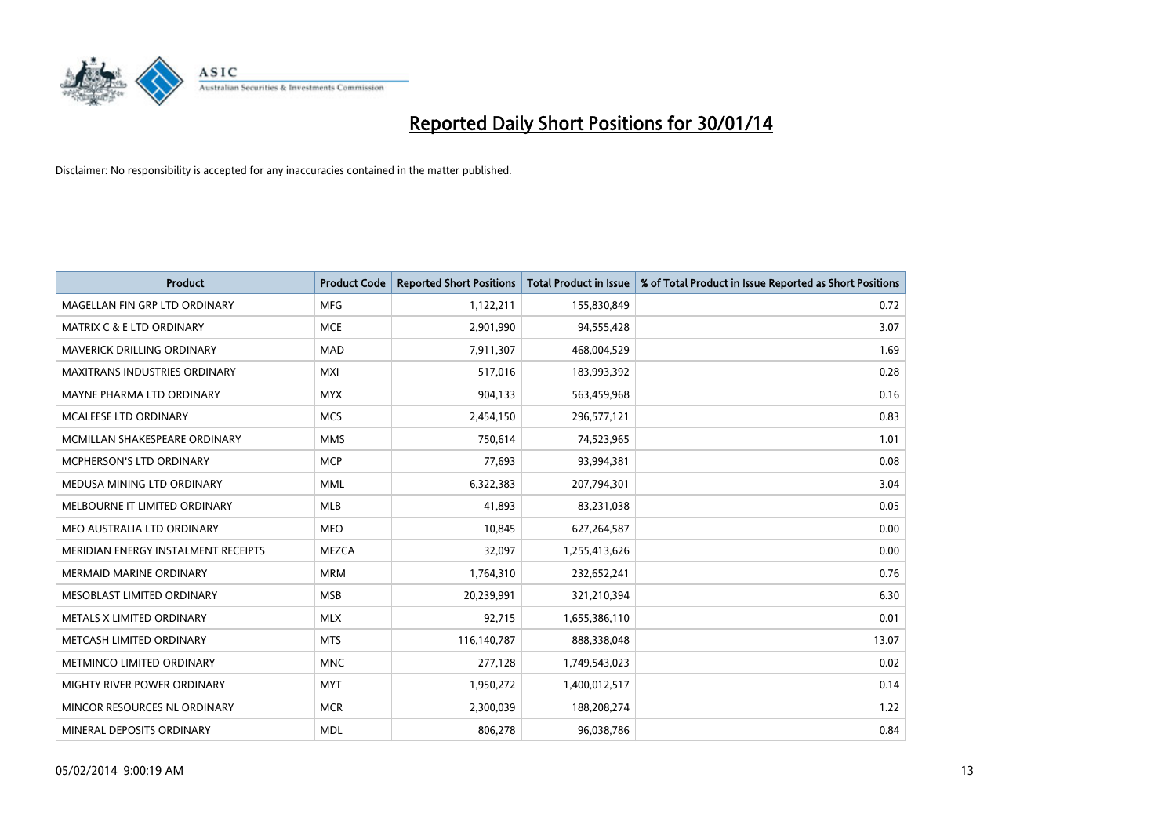

| <b>Product</b>                       | <b>Product Code</b> | <b>Reported Short Positions</b> | <b>Total Product in Issue</b> | % of Total Product in Issue Reported as Short Positions |
|--------------------------------------|---------------------|---------------------------------|-------------------------------|---------------------------------------------------------|
| MAGELLAN FIN GRP LTD ORDINARY        | <b>MFG</b>          | 1,122,211                       | 155,830,849                   | 0.72                                                    |
| <b>MATRIX C &amp; E LTD ORDINARY</b> | <b>MCE</b>          | 2,901,990                       | 94,555,428                    | 3.07                                                    |
| MAVERICK DRILLING ORDINARY           | <b>MAD</b>          | 7,911,307                       | 468,004,529                   | 1.69                                                    |
| <b>MAXITRANS INDUSTRIES ORDINARY</b> | <b>MXI</b>          | 517,016                         | 183,993,392                   | 0.28                                                    |
| MAYNE PHARMA LTD ORDINARY            | <b>MYX</b>          | 904,133                         | 563,459,968                   | 0.16                                                    |
| MCALEESE LTD ORDINARY                | <b>MCS</b>          | 2,454,150                       | 296,577,121                   | 0.83                                                    |
| MCMILLAN SHAKESPEARE ORDINARY        | <b>MMS</b>          | 750,614                         | 74,523,965                    | 1.01                                                    |
| MCPHERSON'S LTD ORDINARY             | <b>MCP</b>          | 77,693                          | 93,994,381                    | 0.08                                                    |
| MEDUSA MINING LTD ORDINARY           | <b>MML</b>          | 6,322,383                       | 207,794,301                   | 3.04                                                    |
| MELBOURNE IT LIMITED ORDINARY        | <b>MLB</b>          | 41,893                          | 83,231,038                    | 0.05                                                    |
| MEO AUSTRALIA LTD ORDINARY           | <b>MEO</b>          | 10,845                          | 627,264,587                   | 0.00                                                    |
| MERIDIAN ENERGY INSTALMENT RECEIPTS  | <b>MEZCA</b>        | 32,097                          | 1,255,413,626                 | 0.00                                                    |
| <b>MERMAID MARINE ORDINARY</b>       | <b>MRM</b>          | 1,764,310                       | 232,652,241                   | 0.76                                                    |
| MESOBLAST LIMITED ORDINARY           | <b>MSB</b>          | 20,239,991                      | 321,210,394                   | 6.30                                                    |
| METALS X LIMITED ORDINARY            | <b>MLX</b>          | 92,715                          | 1,655,386,110                 | 0.01                                                    |
| METCASH LIMITED ORDINARY             | <b>MTS</b>          | 116,140,787                     | 888,338,048                   | 13.07                                                   |
| METMINCO LIMITED ORDINARY            | <b>MNC</b>          | 277,128                         | 1,749,543,023                 | 0.02                                                    |
| MIGHTY RIVER POWER ORDINARY          | <b>MYT</b>          | 1,950,272                       | 1,400,012,517                 | 0.14                                                    |
| MINCOR RESOURCES NL ORDINARY         | <b>MCR</b>          | 2,300,039                       | 188,208,274                   | 1.22                                                    |
| MINERAL DEPOSITS ORDINARY            | <b>MDL</b>          | 806,278                         | 96,038,786                    | 0.84                                                    |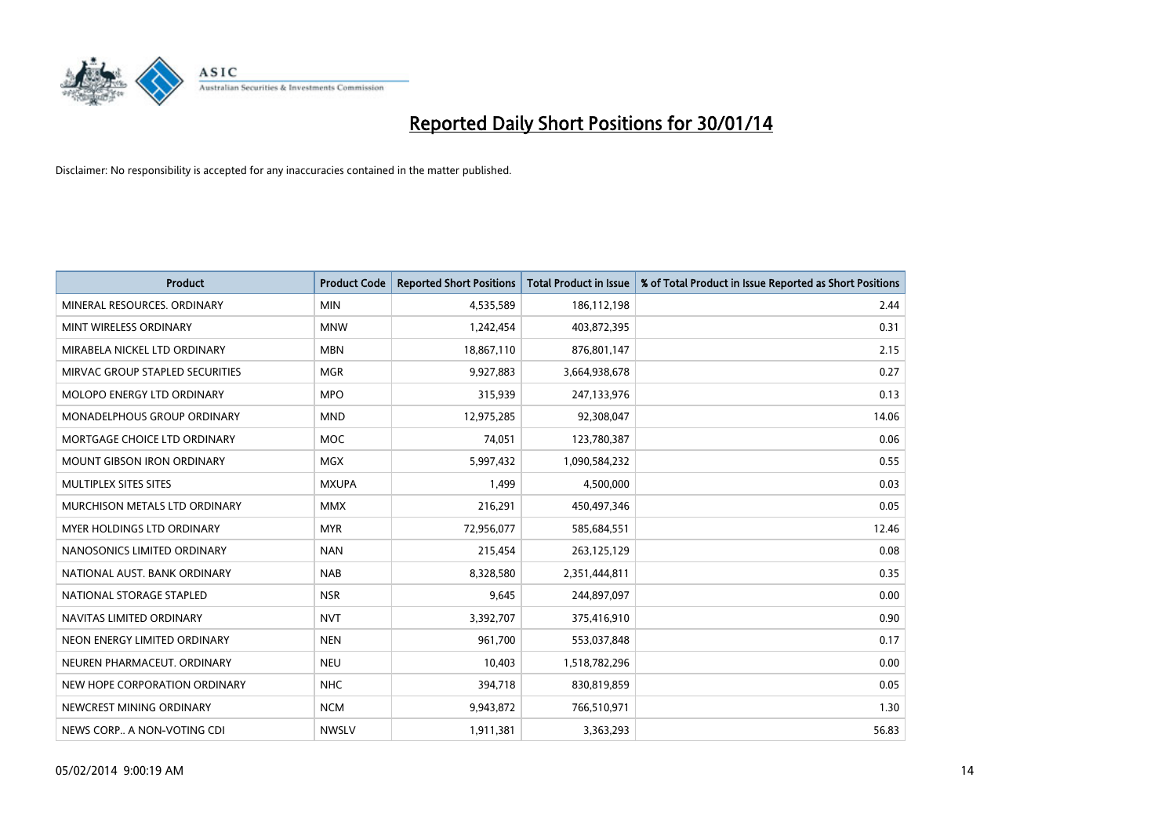

| <b>Product</b>                  | <b>Product Code</b> | <b>Reported Short Positions</b> | <b>Total Product in Issue</b> | % of Total Product in Issue Reported as Short Positions |
|---------------------------------|---------------------|---------------------------------|-------------------------------|---------------------------------------------------------|
| MINERAL RESOURCES, ORDINARY     | <b>MIN</b>          | 4,535,589                       | 186,112,198                   | 2.44                                                    |
| MINT WIRELESS ORDINARY          | <b>MNW</b>          | 1,242,454                       | 403,872,395                   | 0.31                                                    |
| MIRABELA NICKEL LTD ORDINARY    | <b>MBN</b>          | 18,867,110                      | 876,801,147                   | 2.15                                                    |
| MIRVAC GROUP STAPLED SECURITIES | <b>MGR</b>          | 9,927,883                       | 3,664,938,678                 | 0.27                                                    |
| MOLOPO ENERGY LTD ORDINARY      | <b>MPO</b>          | 315,939                         | 247,133,976                   | 0.13                                                    |
| MONADELPHOUS GROUP ORDINARY     | <b>MND</b>          | 12,975,285                      | 92,308,047                    | 14.06                                                   |
| MORTGAGE CHOICE LTD ORDINARY    | MOC                 | 74,051                          | 123,780,387                   | 0.06                                                    |
| MOUNT GIBSON IRON ORDINARY      | <b>MGX</b>          | 5,997,432                       | 1,090,584,232                 | 0.55                                                    |
| MULTIPLEX SITES SITES           | <b>MXUPA</b>        | 1,499                           | 4,500,000                     | 0.03                                                    |
| MURCHISON METALS LTD ORDINARY   | <b>MMX</b>          | 216,291                         | 450,497,346                   | 0.05                                                    |
| MYER HOLDINGS LTD ORDINARY      | <b>MYR</b>          | 72,956,077                      | 585,684,551                   | 12.46                                                   |
| NANOSONICS LIMITED ORDINARY     | <b>NAN</b>          | 215,454                         | 263,125,129                   | 0.08                                                    |
| NATIONAL AUST, BANK ORDINARY    | <b>NAB</b>          | 8,328,580                       | 2,351,444,811                 | 0.35                                                    |
| NATIONAL STORAGE STAPLED        | <b>NSR</b>          | 9,645                           | 244,897,097                   | 0.00                                                    |
| NAVITAS LIMITED ORDINARY        | <b>NVT</b>          | 3,392,707                       | 375,416,910                   | 0.90                                                    |
| NEON ENERGY LIMITED ORDINARY    | <b>NEN</b>          | 961,700                         | 553,037,848                   | 0.17                                                    |
| NEUREN PHARMACEUT. ORDINARY     | <b>NEU</b>          | 10,403                          | 1,518,782,296                 | 0.00                                                    |
| NEW HOPE CORPORATION ORDINARY   | <b>NHC</b>          | 394,718                         | 830,819,859                   | 0.05                                                    |
| NEWCREST MINING ORDINARY        | <b>NCM</b>          | 9,943,872                       | 766,510,971                   | 1.30                                                    |
| NEWS CORP A NON-VOTING CDI      | <b>NWSLV</b>        | 1,911,381                       | 3,363,293                     | 56.83                                                   |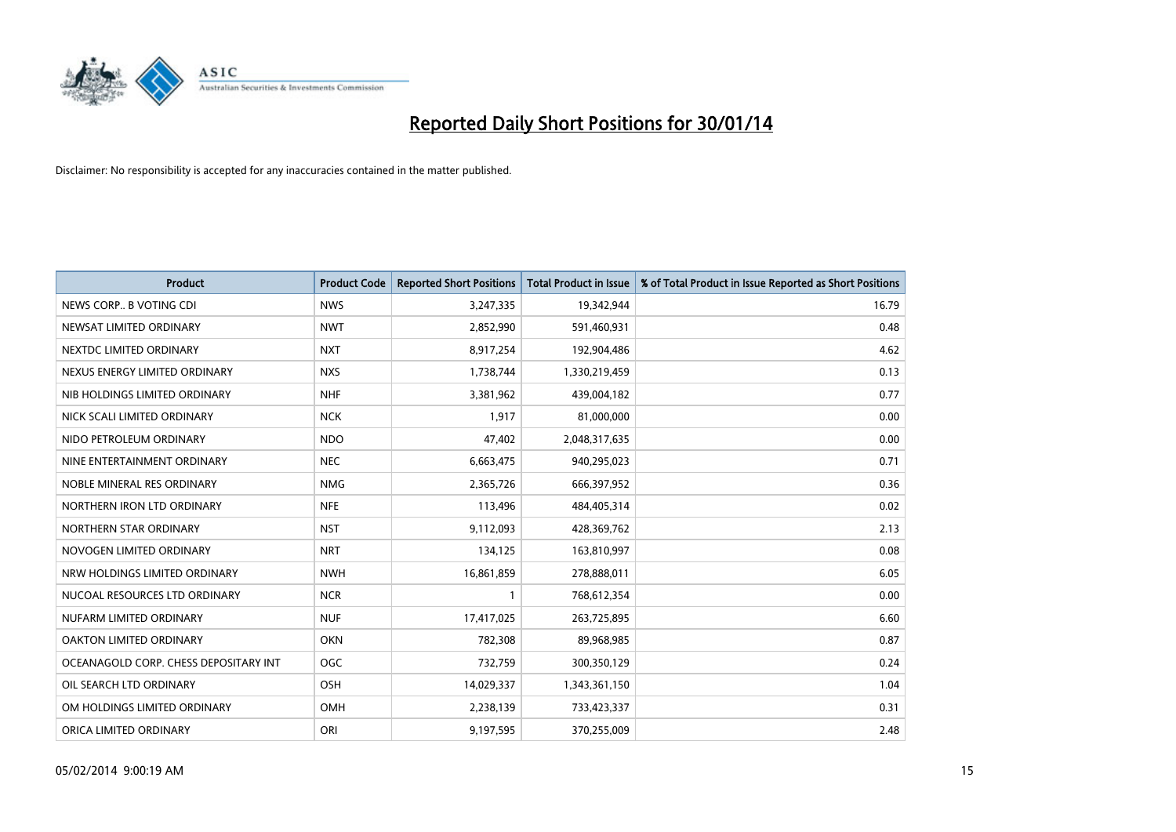

| <b>Product</b>                        | <b>Product Code</b> | <b>Reported Short Positions</b> | <b>Total Product in Issue</b> | % of Total Product in Issue Reported as Short Positions |
|---------------------------------------|---------------------|---------------------------------|-------------------------------|---------------------------------------------------------|
| NEWS CORP B VOTING CDI                | <b>NWS</b>          | 3,247,335                       | 19,342,944                    | 16.79                                                   |
| NEWSAT LIMITED ORDINARY               | <b>NWT</b>          | 2,852,990                       | 591,460,931                   | 0.48                                                    |
| NEXTDC LIMITED ORDINARY               | <b>NXT</b>          | 8,917,254                       | 192,904,486                   | 4.62                                                    |
| NEXUS ENERGY LIMITED ORDINARY         | <b>NXS</b>          | 1,738,744                       | 1,330,219,459                 | 0.13                                                    |
| NIB HOLDINGS LIMITED ORDINARY         | <b>NHF</b>          | 3,381,962                       | 439,004,182                   | 0.77                                                    |
| NICK SCALI LIMITED ORDINARY           | <b>NCK</b>          | 1,917                           | 81,000,000                    | 0.00                                                    |
| NIDO PETROLEUM ORDINARY               | <b>NDO</b>          | 47,402                          | 2,048,317,635                 | 0.00                                                    |
| NINE ENTERTAINMENT ORDINARY           | <b>NEC</b>          | 6,663,475                       | 940,295,023                   | 0.71                                                    |
| NOBLE MINERAL RES ORDINARY            | <b>NMG</b>          | 2,365,726                       | 666,397,952                   | 0.36                                                    |
| NORTHERN IRON LTD ORDINARY            | <b>NFE</b>          | 113,496                         | 484,405,314                   | 0.02                                                    |
| NORTHERN STAR ORDINARY                | <b>NST</b>          | 9,112,093                       | 428,369,762                   | 2.13                                                    |
| NOVOGEN LIMITED ORDINARY              | <b>NRT</b>          | 134,125                         | 163,810,997                   | 0.08                                                    |
| NRW HOLDINGS LIMITED ORDINARY         | <b>NWH</b>          | 16,861,859                      | 278,888,011                   | 6.05                                                    |
| NUCOAL RESOURCES LTD ORDINARY         | <b>NCR</b>          | $\mathbf{1}$                    | 768,612,354                   | 0.00                                                    |
| NUFARM LIMITED ORDINARY               | <b>NUF</b>          | 17,417,025                      | 263,725,895                   | 6.60                                                    |
| OAKTON LIMITED ORDINARY               | <b>OKN</b>          | 782,308                         | 89,968,985                    | 0.87                                                    |
| OCEANAGOLD CORP. CHESS DEPOSITARY INT | <b>OGC</b>          | 732,759                         | 300,350,129                   | 0.24                                                    |
| OIL SEARCH LTD ORDINARY               | OSH                 | 14,029,337                      | 1,343,361,150                 | 1.04                                                    |
| OM HOLDINGS LIMITED ORDINARY          | OMH                 | 2,238,139                       | 733,423,337                   | 0.31                                                    |
| ORICA LIMITED ORDINARY                | ORI                 | 9,197,595                       | 370,255,009                   | 2.48                                                    |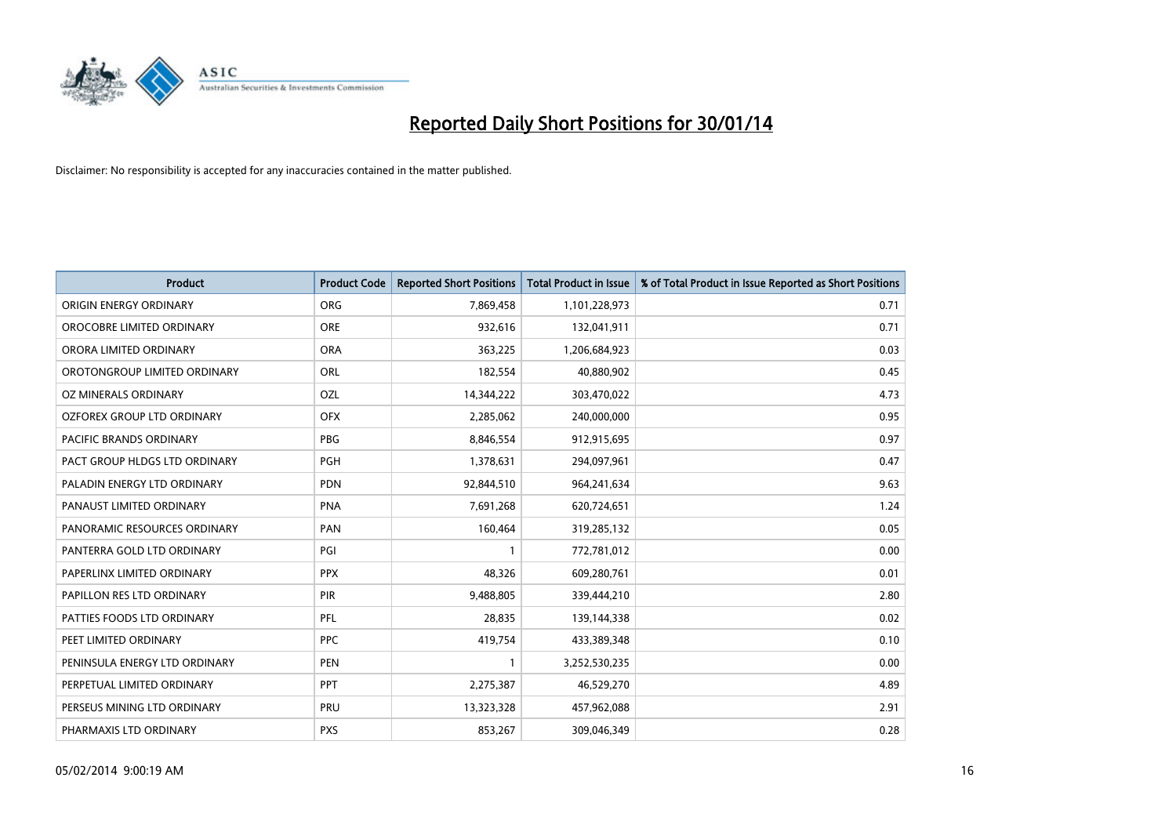

| <b>Product</b>                | <b>Product Code</b> | <b>Reported Short Positions</b> | <b>Total Product in Issue</b> | % of Total Product in Issue Reported as Short Positions |
|-------------------------------|---------------------|---------------------------------|-------------------------------|---------------------------------------------------------|
| ORIGIN ENERGY ORDINARY        | <b>ORG</b>          | 7,869,458                       | 1,101,228,973                 | 0.71                                                    |
| OROCOBRE LIMITED ORDINARY     | <b>ORE</b>          | 932,616                         | 132,041,911                   | 0.71                                                    |
| ORORA LIMITED ORDINARY        | <b>ORA</b>          | 363,225                         | 1,206,684,923                 | 0.03                                                    |
| OROTONGROUP LIMITED ORDINARY  | ORL                 | 182,554                         | 40,880,902                    | 0.45                                                    |
| OZ MINERALS ORDINARY          | OZL                 | 14,344,222                      | 303,470,022                   | 4.73                                                    |
| OZFOREX GROUP LTD ORDINARY    | <b>OFX</b>          | 2,285,062                       | 240,000,000                   | 0.95                                                    |
| PACIFIC BRANDS ORDINARY       | <b>PBG</b>          | 8,846,554                       | 912,915,695                   | 0.97                                                    |
| PACT GROUP HLDGS LTD ORDINARY | PGH                 | 1,378,631                       | 294,097,961                   | 0.47                                                    |
| PALADIN ENERGY LTD ORDINARY   | <b>PDN</b>          | 92,844,510                      | 964,241,634                   | 9.63                                                    |
| PANAUST LIMITED ORDINARY      | <b>PNA</b>          | 7,691,268                       | 620,724,651                   | 1.24                                                    |
| PANORAMIC RESOURCES ORDINARY  | PAN                 | 160,464                         | 319,285,132                   | 0.05                                                    |
| PANTERRA GOLD LTD ORDINARY    | PGI                 | $\mathbf{1}$                    | 772,781,012                   | 0.00                                                    |
| PAPERLINX LIMITED ORDINARY    | <b>PPX</b>          | 48,326                          | 609,280,761                   | 0.01                                                    |
| PAPILLON RES LTD ORDINARY     | PIR                 | 9,488,805                       | 339,444,210                   | 2.80                                                    |
| PATTIES FOODS LTD ORDINARY    | PFL                 | 28,835                          | 139,144,338                   | 0.02                                                    |
| PEET LIMITED ORDINARY         | <b>PPC</b>          | 419,754                         | 433,389,348                   | 0.10                                                    |
| PENINSULA ENERGY LTD ORDINARY | <b>PEN</b>          | $\mathbf{1}$                    | 3,252,530,235                 | 0.00                                                    |
| PERPETUAL LIMITED ORDINARY    | PPT                 | 2,275,387                       | 46,529,270                    | 4.89                                                    |
| PERSEUS MINING LTD ORDINARY   | PRU                 | 13,323,328                      | 457,962,088                   | 2.91                                                    |
| PHARMAXIS LTD ORDINARY        | <b>PXS</b>          | 853,267                         | 309,046,349                   | 0.28                                                    |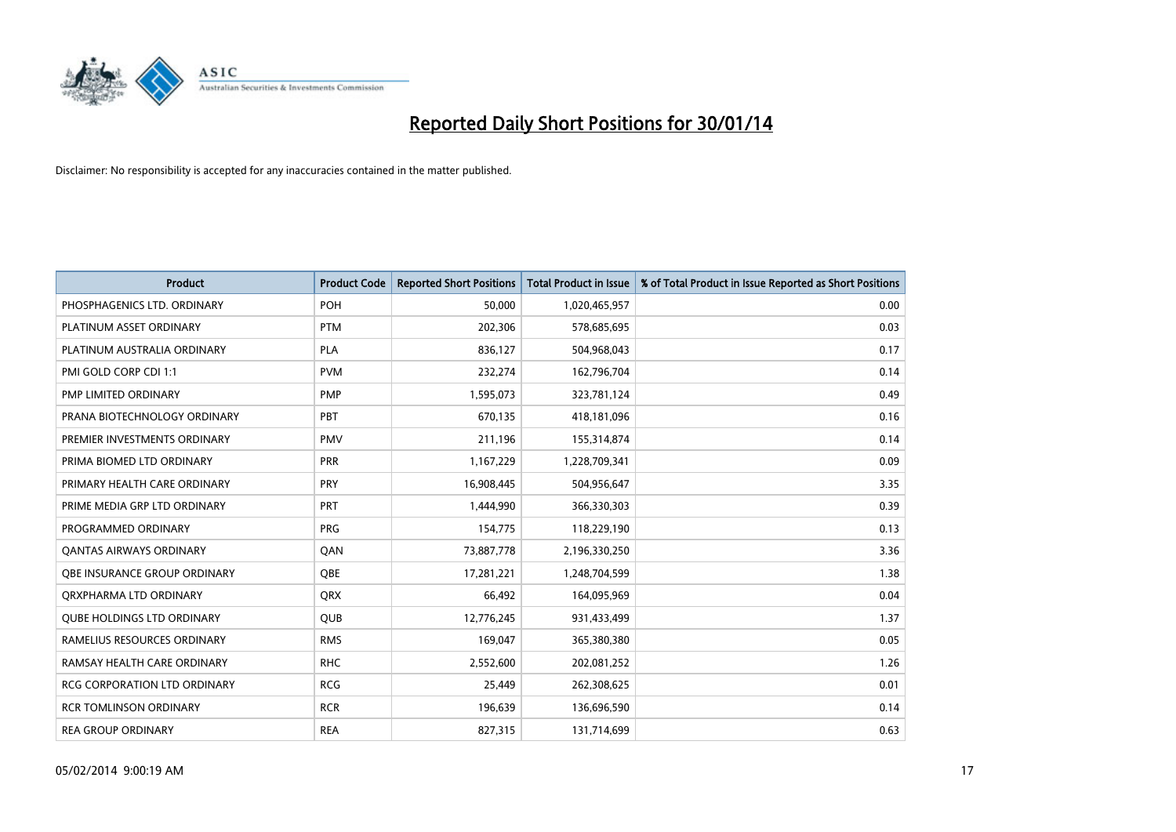

| <b>Product</b>                      | <b>Product Code</b> | <b>Reported Short Positions</b> | <b>Total Product in Issue</b> | % of Total Product in Issue Reported as Short Positions |
|-------------------------------------|---------------------|---------------------------------|-------------------------------|---------------------------------------------------------|
| PHOSPHAGENICS LTD. ORDINARY         | POH                 | 50,000                          | 1,020,465,957                 | 0.00                                                    |
| PLATINUM ASSET ORDINARY             | <b>PTM</b>          | 202,306                         | 578,685,695                   | 0.03                                                    |
| PLATINUM AUSTRALIA ORDINARY         | <b>PLA</b>          | 836,127                         | 504,968,043                   | 0.17                                                    |
| PMI GOLD CORP CDI 1:1               | <b>PVM</b>          | 232,274                         | 162,796,704                   | 0.14                                                    |
| PMP LIMITED ORDINARY                | <b>PMP</b>          | 1,595,073                       | 323,781,124                   | 0.49                                                    |
| PRANA BIOTECHNOLOGY ORDINARY        | PBT                 | 670,135                         | 418,181,096                   | 0.16                                                    |
| PREMIER INVESTMENTS ORDINARY        | <b>PMV</b>          | 211,196                         | 155,314,874                   | 0.14                                                    |
| PRIMA BIOMED LTD ORDINARY           | <b>PRR</b>          | 1,167,229                       | 1,228,709,341                 | 0.09                                                    |
| PRIMARY HEALTH CARE ORDINARY        | <b>PRY</b>          | 16,908,445                      | 504,956,647                   | 3.35                                                    |
| PRIME MEDIA GRP LTD ORDINARY        | <b>PRT</b>          | 1,444,990                       | 366,330,303                   | 0.39                                                    |
| PROGRAMMED ORDINARY                 | <b>PRG</b>          | 154,775                         | 118,229,190                   | 0.13                                                    |
| <b>QANTAS AIRWAYS ORDINARY</b>      | QAN                 | 73,887,778                      | 2,196,330,250                 | 3.36                                                    |
| OBE INSURANCE GROUP ORDINARY        | <b>OBE</b>          | 17,281,221                      | 1,248,704,599                 | 1.38                                                    |
| ORXPHARMA LTD ORDINARY              | QRX                 | 66,492                          | 164,095,969                   | 0.04                                                    |
| QUBE HOLDINGS LTD ORDINARY          | <b>QUB</b>          | 12,776,245                      | 931,433,499                   | 1.37                                                    |
| RAMELIUS RESOURCES ORDINARY         | <b>RMS</b>          | 169,047                         | 365,380,380                   | 0.05                                                    |
| RAMSAY HEALTH CARE ORDINARY         | <b>RHC</b>          | 2,552,600                       | 202,081,252                   | 1.26                                                    |
| <b>RCG CORPORATION LTD ORDINARY</b> | <b>RCG</b>          | 25,449                          | 262,308,625                   | 0.01                                                    |
| <b>RCR TOMLINSON ORDINARY</b>       | <b>RCR</b>          | 196,639                         | 136,696,590                   | 0.14                                                    |
| <b>REA GROUP ORDINARY</b>           | <b>REA</b>          | 827,315                         | 131,714,699                   | 0.63                                                    |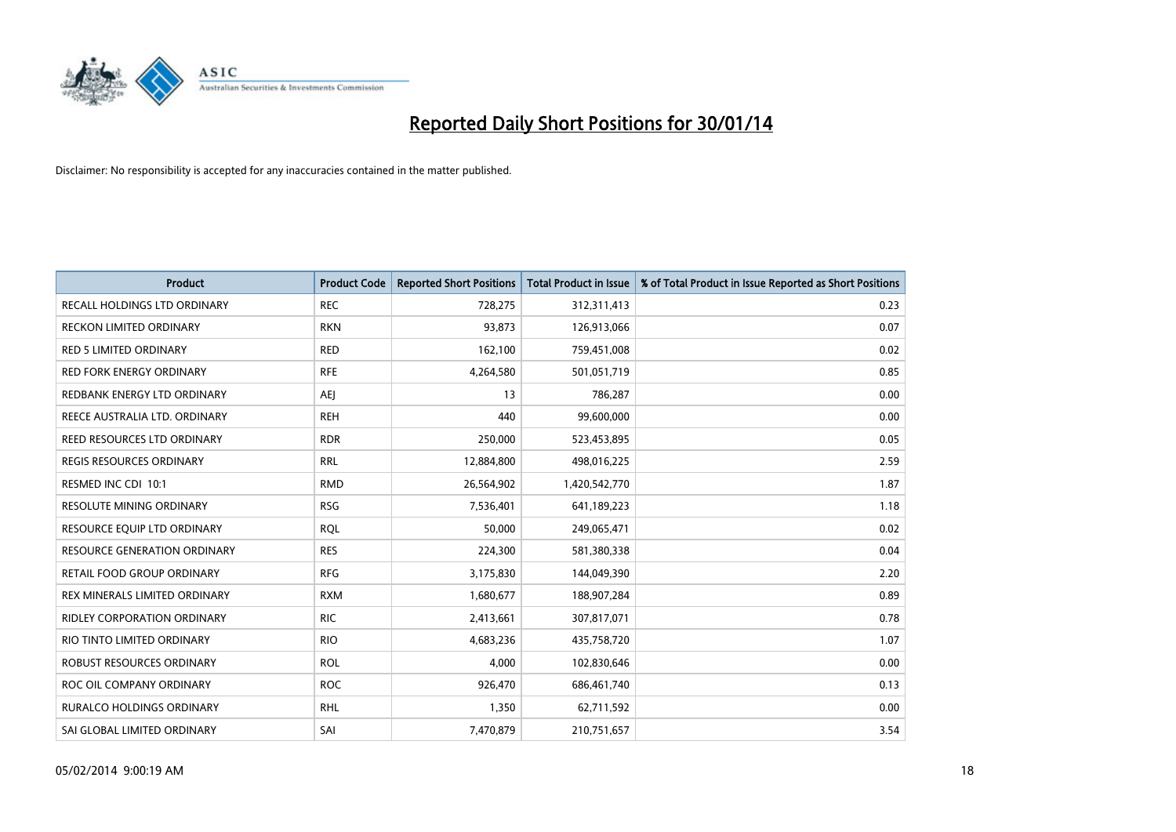

| <b>Product</b>                     | <b>Product Code</b> | <b>Reported Short Positions</b> | <b>Total Product in Issue</b> | % of Total Product in Issue Reported as Short Positions |
|------------------------------------|---------------------|---------------------------------|-------------------------------|---------------------------------------------------------|
| RECALL HOLDINGS LTD ORDINARY       | <b>REC</b>          | 728,275                         | 312,311,413                   | 0.23                                                    |
| RECKON LIMITED ORDINARY            | <b>RKN</b>          | 93,873                          | 126,913,066                   | 0.07                                                    |
| RED 5 LIMITED ORDINARY             | <b>RED</b>          | 162,100                         | 759,451,008                   | 0.02                                                    |
| <b>RED FORK ENERGY ORDINARY</b>    | <b>RFE</b>          | 4,264,580                       | 501,051,719                   | 0.85                                                    |
| REDBANK ENERGY LTD ORDINARY        | AEJ                 | 13                              | 786,287                       | 0.00                                                    |
| REECE AUSTRALIA LTD. ORDINARY      | <b>REH</b>          | 440                             | 99,600,000                    | 0.00                                                    |
| REED RESOURCES LTD ORDINARY        | <b>RDR</b>          | 250,000                         | 523,453,895                   | 0.05                                                    |
| REGIS RESOURCES ORDINARY           | <b>RRL</b>          | 12,884,800                      | 498,016,225                   | 2.59                                                    |
| RESMED INC CDI 10:1                | <b>RMD</b>          | 26,564,902                      | 1,420,542,770                 | 1.87                                                    |
| <b>RESOLUTE MINING ORDINARY</b>    | <b>RSG</b>          | 7,536,401                       | 641,189,223                   | 1.18                                                    |
| RESOURCE EQUIP LTD ORDINARY        | <b>RQL</b>          | 50,000                          | 249,065,471                   | 0.02                                                    |
| RESOURCE GENERATION ORDINARY       | <b>RES</b>          | 224,300                         | 581,380,338                   | 0.04                                                    |
| RETAIL FOOD GROUP ORDINARY         | <b>RFG</b>          | 3,175,830                       | 144,049,390                   | 2.20                                                    |
| REX MINERALS LIMITED ORDINARY      | <b>RXM</b>          | 1,680,677                       | 188,907,284                   | 0.89                                                    |
| <b>RIDLEY CORPORATION ORDINARY</b> | <b>RIC</b>          | 2,413,661                       | 307,817,071                   | 0.78                                                    |
| RIO TINTO LIMITED ORDINARY         | <b>RIO</b>          | 4,683,236                       | 435,758,720                   | 1.07                                                    |
| ROBUST RESOURCES ORDINARY          | <b>ROL</b>          | 4,000                           | 102,830,646                   | 0.00                                                    |
| ROC OIL COMPANY ORDINARY           | <b>ROC</b>          | 926,470                         | 686,461,740                   | 0.13                                                    |
| <b>RURALCO HOLDINGS ORDINARY</b>   | <b>RHL</b>          | 1,350                           | 62,711,592                    | 0.00                                                    |
| SAI GLOBAL LIMITED ORDINARY        | SAI                 | 7,470,879                       | 210,751,657                   | 3.54                                                    |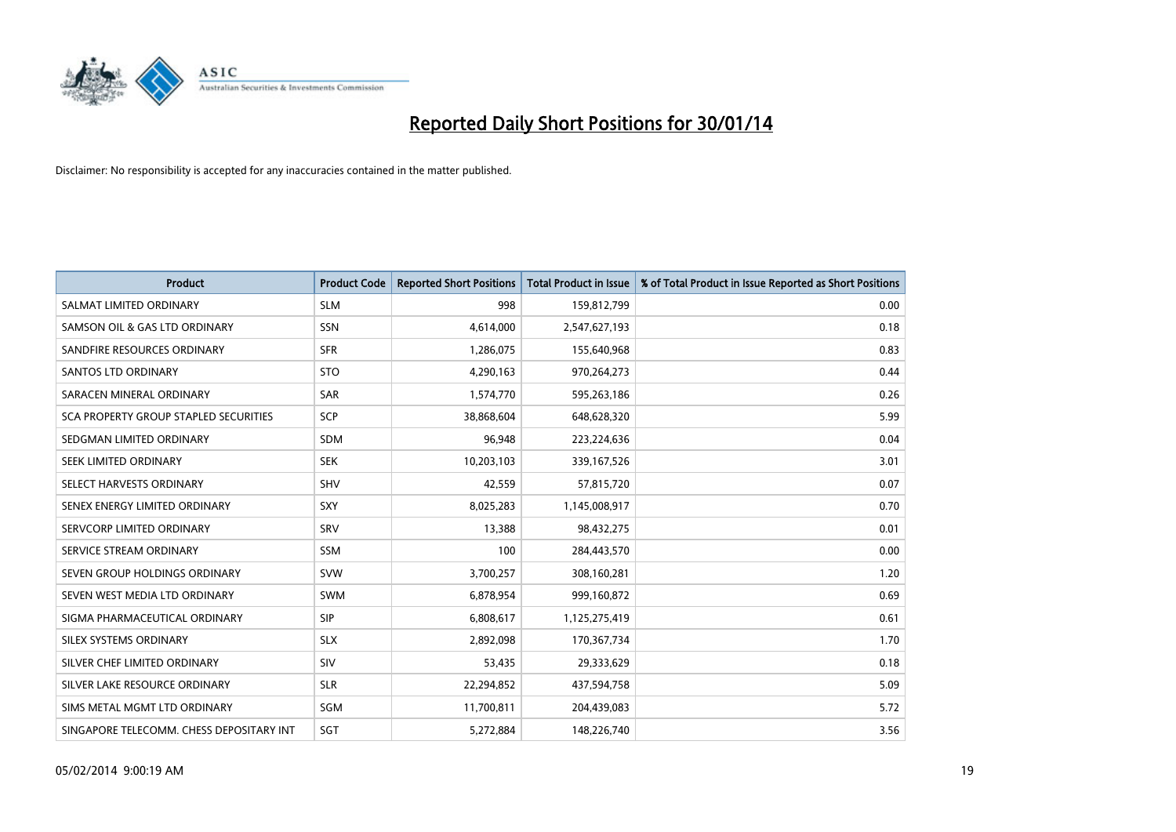

| <b>Product</b>                           | <b>Product Code</b> | <b>Reported Short Positions</b> | <b>Total Product in Issue</b> | % of Total Product in Issue Reported as Short Positions |
|------------------------------------------|---------------------|---------------------------------|-------------------------------|---------------------------------------------------------|
| SALMAT LIMITED ORDINARY                  | <b>SLM</b>          | 998                             | 159,812,799                   | 0.00                                                    |
| SAMSON OIL & GAS LTD ORDINARY            | SSN                 | 4,614,000                       | 2,547,627,193                 | 0.18                                                    |
| SANDFIRE RESOURCES ORDINARY              | <b>SFR</b>          | 1,286,075                       | 155,640,968                   | 0.83                                                    |
| <b>SANTOS LTD ORDINARY</b>               | <b>STO</b>          | 4,290,163                       | 970,264,273                   | 0.44                                                    |
| SARACEN MINERAL ORDINARY                 | <b>SAR</b>          | 1,574,770                       | 595,263,186                   | 0.26                                                    |
| SCA PROPERTY GROUP STAPLED SECURITIES    | SCP                 | 38,868,604                      | 648,628,320                   | 5.99                                                    |
| SEDGMAN LIMITED ORDINARY                 | <b>SDM</b>          | 96,948                          | 223,224,636                   | 0.04                                                    |
| SEEK LIMITED ORDINARY                    | <b>SEK</b>          | 10,203,103                      | 339,167,526                   | 3.01                                                    |
| SELECT HARVESTS ORDINARY                 | SHV                 | 42,559                          | 57,815,720                    | 0.07                                                    |
| SENEX ENERGY LIMITED ORDINARY            | <b>SXY</b>          | 8,025,283                       | 1,145,008,917                 | 0.70                                                    |
| SERVCORP LIMITED ORDINARY                | SRV                 | 13,388                          | 98,432,275                    | 0.01                                                    |
| SERVICE STREAM ORDINARY                  | <b>SSM</b>          | 100                             | 284,443,570                   | 0.00                                                    |
| SEVEN GROUP HOLDINGS ORDINARY            | <b>SVW</b>          | 3,700,257                       | 308,160,281                   | 1.20                                                    |
| SEVEN WEST MEDIA LTD ORDINARY            | <b>SWM</b>          | 6,878,954                       | 999,160,872                   | 0.69                                                    |
| SIGMA PHARMACEUTICAL ORDINARY            | <b>SIP</b>          | 6,808,617                       | 1,125,275,419                 | 0.61                                                    |
| SILEX SYSTEMS ORDINARY                   | <b>SLX</b>          | 2,892,098                       | 170,367,734                   | 1.70                                                    |
| SILVER CHEF LIMITED ORDINARY             | SIV                 | 53,435                          | 29,333,629                    | 0.18                                                    |
| SILVER LAKE RESOURCE ORDINARY            | <b>SLR</b>          | 22,294,852                      | 437,594,758                   | 5.09                                                    |
| SIMS METAL MGMT LTD ORDINARY             | SGM                 | 11,700,811                      | 204,439,083                   | 5.72                                                    |
| SINGAPORE TELECOMM. CHESS DEPOSITARY INT | SGT                 | 5,272,884                       | 148,226,740                   | 3.56                                                    |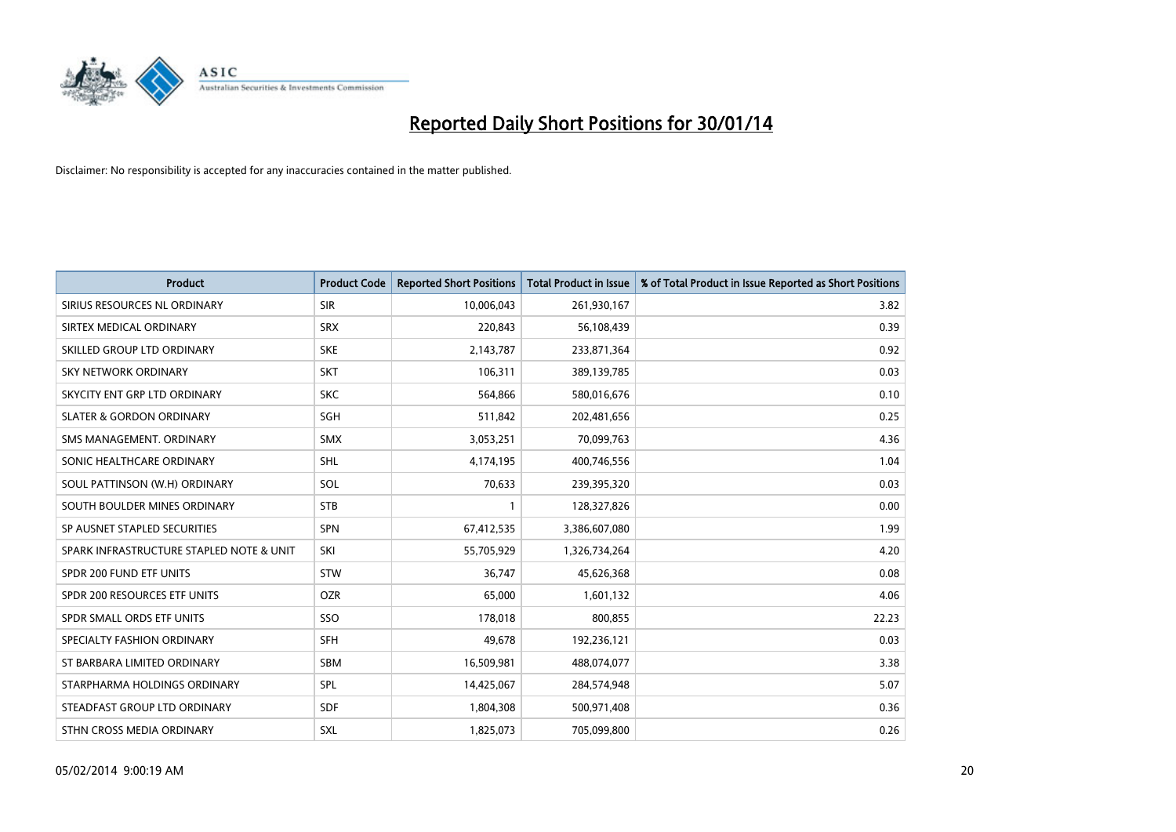

| <b>Product</b>                           | <b>Product Code</b> | <b>Reported Short Positions</b> | <b>Total Product in Issue</b> | % of Total Product in Issue Reported as Short Positions |
|------------------------------------------|---------------------|---------------------------------|-------------------------------|---------------------------------------------------------|
| SIRIUS RESOURCES NL ORDINARY             | <b>SIR</b>          | 10,006,043                      | 261,930,167                   | 3.82                                                    |
| SIRTEX MEDICAL ORDINARY                  | <b>SRX</b>          | 220,843                         | 56,108,439                    | 0.39                                                    |
| SKILLED GROUP LTD ORDINARY               | <b>SKE</b>          | 2,143,787                       | 233,871,364                   | 0.92                                                    |
| <b>SKY NETWORK ORDINARY</b>              | <b>SKT</b>          | 106,311                         | 389,139,785                   | 0.03                                                    |
| SKYCITY ENT GRP LTD ORDINARY             | <b>SKC</b>          | 564,866                         | 580,016,676                   | 0.10                                                    |
| <b>SLATER &amp; GORDON ORDINARY</b>      | <b>SGH</b>          | 511,842                         | 202,481,656                   | 0.25                                                    |
| SMS MANAGEMENT, ORDINARY                 | <b>SMX</b>          | 3,053,251                       | 70,099,763                    | 4.36                                                    |
| SONIC HEALTHCARE ORDINARY                | <b>SHL</b>          | 4,174,195                       | 400,746,556                   | 1.04                                                    |
| SOUL PATTINSON (W.H) ORDINARY            | SOL                 | 70,633                          | 239,395,320                   | 0.03                                                    |
| SOUTH BOULDER MINES ORDINARY             | <b>STB</b>          | 1                               | 128,327,826                   | 0.00                                                    |
| SP AUSNET STAPLED SECURITIES             | SPN                 | 67,412,535                      | 3,386,607,080                 | 1.99                                                    |
| SPARK INFRASTRUCTURE STAPLED NOTE & UNIT | SKI                 | 55,705,929                      | 1,326,734,264                 | 4.20                                                    |
| SPDR 200 FUND ETF UNITS                  | <b>STW</b>          | 36,747                          | 45,626,368                    | 0.08                                                    |
| SPDR 200 RESOURCES ETF UNITS             | <b>OZR</b>          | 65,000                          | 1,601,132                     | 4.06                                                    |
| SPDR SMALL ORDS ETF UNITS                | SSO                 | 178,018                         | 800,855                       | 22.23                                                   |
| SPECIALTY FASHION ORDINARY               | SFH                 | 49,678                          | 192,236,121                   | 0.03                                                    |
| ST BARBARA LIMITED ORDINARY              | SBM                 | 16,509,981                      | 488,074,077                   | 3.38                                                    |
| STARPHARMA HOLDINGS ORDINARY             | <b>SPL</b>          | 14,425,067                      | 284,574,948                   | 5.07                                                    |
| STEADFAST GROUP LTD ORDINARY             | <b>SDF</b>          | 1,804,308                       | 500,971,408                   | 0.36                                                    |
| STHN CROSS MEDIA ORDINARY                | SXL                 | 1,825,073                       | 705,099,800                   | 0.26                                                    |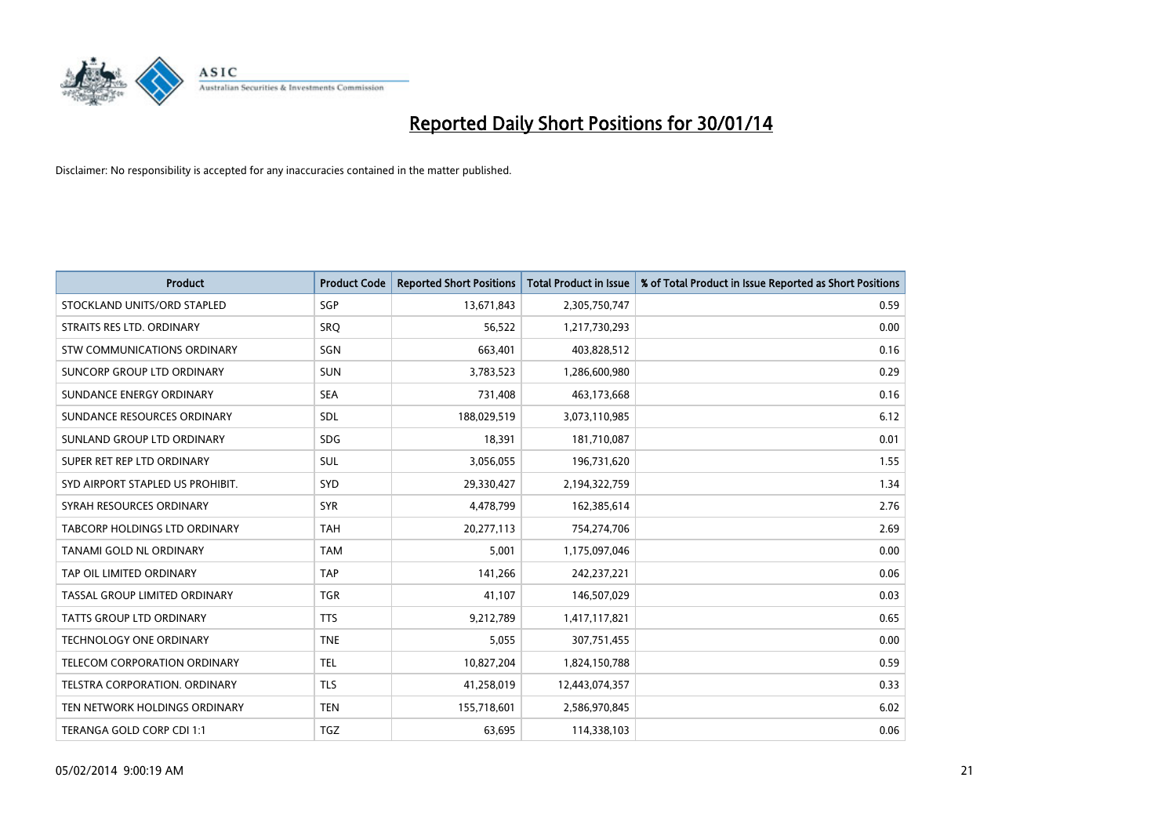

| <b>Product</b>                   | <b>Product Code</b> | <b>Reported Short Positions</b> | <b>Total Product in Issue</b> | % of Total Product in Issue Reported as Short Positions |
|----------------------------------|---------------------|---------------------------------|-------------------------------|---------------------------------------------------------|
| STOCKLAND UNITS/ORD STAPLED      | SGP                 | 13,671,843                      | 2,305,750,747                 | 0.59                                                    |
| STRAITS RES LTD. ORDINARY        | <b>SRQ</b>          | 56,522                          | 1,217,730,293                 | 0.00                                                    |
| STW COMMUNICATIONS ORDINARY      | SGN                 | 663,401                         | 403,828,512                   | 0.16                                                    |
| SUNCORP GROUP LTD ORDINARY       | <b>SUN</b>          | 3,783,523                       | 1,286,600,980                 | 0.29                                                    |
| SUNDANCE ENERGY ORDINARY         | <b>SEA</b>          | 731,408                         | 463,173,668                   | 0.16                                                    |
| SUNDANCE RESOURCES ORDINARY      | SDL                 | 188,029,519                     | 3,073,110,985                 | 6.12                                                    |
| SUNLAND GROUP LTD ORDINARY       | <b>SDG</b>          | 18,391                          | 181,710,087                   | 0.01                                                    |
| SUPER RET REP LTD ORDINARY       | <b>SUL</b>          | 3,056,055                       | 196,731,620                   | 1.55                                                    |
| SYD AIRPORT STAPLED US PROHIBIT. | SYD                 | 29,330,427                      | 2,194,322,759                 | 1.34                                                    |
| SYRAH RESOURCES ORDINARY         | <b>SYR</b>          | 4,478,799                       | 162,385,614                   | 2.76                                                    |
| TABCORP HOLDINGS LTD ORDINARY    | <b>TAH</b>          | 20,277,113                      | 754,274,706                   | 2.69                                                    |
| TANAMI GOLD NL ORDINARY          | <b>TAM</b>          | 5,001                           | 1,175,097,046                 | 0.00                                                    |
| TAP OIL LIMITED ORDINARY         | <b>TAP</b>          | 141,266                         | 242,237,221                   | 0.06                                                    |
| TASSAL GROUP LIMITED ORDINARY    | <b>TGR</b>          | 41,107                          | 146,507,029                   | 0.03                                                    |
| <b>TATTS GROUP LTD ORDINARY</b>  | <b>TTS</b>          | 9,212,789                       | 1,417,117,821                 | 0.65                                                    |
| TECHNOLOGY ONE ORDINARY          | <b>TNE</b>          | 5,055                           | 307,751,455                   | 0.00                                                    |
| TELECOM CORPORATION ORDINARY     | <b>TEL</b>          | 10,827,204                      | 1,824,150,788                 | 0.59                                                    |
| TELSTRA CORPORATION, ORDINARY    | <b>TLS</b>          | 41,258,019                      | 12,443,074,357                | 0.33                                                    |
| TEN NETWORK HOLDINGS ORDINARY    | <b>TEN</b>          | 155,718,601                     | 2,586,970,845                 | 6.02                                                    |
| TERANGA GOLD CORP CDI 1:1        | <b>TGZ</b>          | 63,695                          | 114,338,103                   | 0.06                                                    |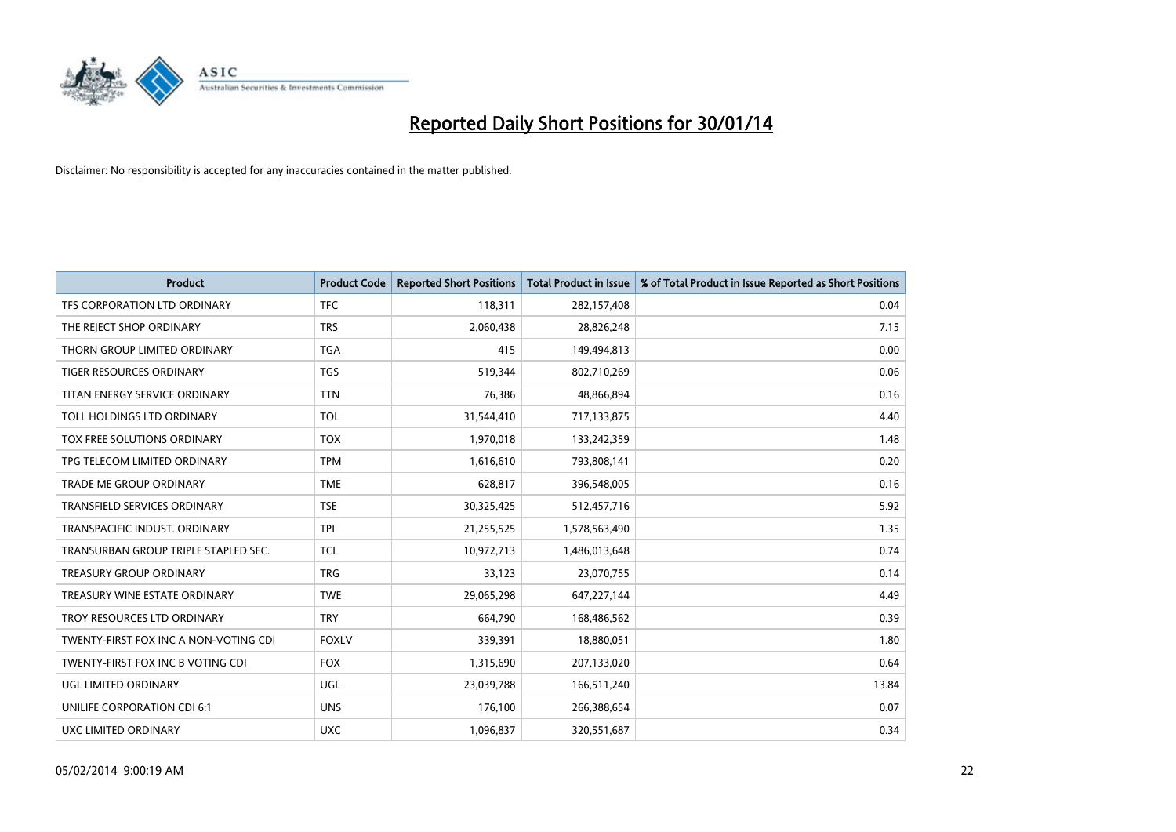

| <b>Product</b>                        | <b>Product Code</b> | <b>Reported Short Positions</b> | <b>Total Product in Issue</b> | % of Total Product in Issue Reported as Short Positions |
|---------------------------------------|---------------------|---------------------------------|-------------------------------|---------------------------------------------------------|
| TFS CORPORATION LTD ORDINARY          | <b>TFC</b>          | 118,311                         | 282,157,408                   | 0.04                                                    |
| THE REJECT SHOP ORDINARY              | <b>TRS</b>          | 2,060,438                       | 28,826,248                    | 7.15                                                    |
| THORN GROUP LIMITED ORDINARY          | <b>TGA</b>          | 415                             | 149,494,813                   | 0.00                                                    |
| TIGER RESOURCES ORDINARY              | <b>TGS</b>          | 519,344                         | 802,710,269                   | 0.06                                                    |
| TITAN ENERGY SERVICE ORDINARY         | <b>TTN</b>          | 76,386                          | 48,866,894                    | 0.16                                                    |
| TOLL HOLDINGS LTD ORDINARY            | <b>TOL</b>          | 31,544,410                      | 717,133,875                   | 4.40                                                    |
| TOX FREE SOLUTIONS ORDINARY           | <b>TOX</b>          | 1,970,018                       | 133,242,359                   | 1.48                                                    |
| TPG TELECOM LIMITED ORDINARY          | <b>TPM</b>          | 1,616,610                       | 793,808,141                   | 0.20                                                    |
| <b>TRADE ME GROUP ORDINARY</b>        | <b>TME</b>          | 628,817                         | 396,548,005                   | 0.16                                                    |
| <b>TRANSFIELD SERVICES ORDINARY</b>   | <b>TSE</b>          | 30,325,425                      | 512,457,716                   | 5.92                                                    |
| TRANSPACIFIC INDUST. ORDINARY         | <b>TPI</b>          | 21,255,525                      | 1,578,563,490                 | 1.35                                                    |
| TRANSURBAN GROUP TRIPLE STAPLED SEC.  | <b>TCL</b>          | 10,972,713                      | 1,486,013,648                 | 0.74                                                    |
| TREASURY GROUP ORDINARY               | <b>TRG</b>          | 33,123                          | 23,070,755                    | 0.14                                                    |
| TREASURY WINE ESTATE ORDINARY         | <b>TWE</b>          | 29,065,298                      | 647,227,144                   | 4.49                                                    |
| TROY RESOURCES LTD ORDINARY           | <b>TRY</b>          | 664,790                         | 168,486,562                   | 0.39                                                    |
| TWENTY-FIRST FOX INC A NON-VOTING CDI | <b>FOXLV</b>        | 339,391                         | 18,880,051                    | 1.80                                                    |
| TWENTY-FIRST FOX INC B VOTING CDI     | <b>FOX</b>          | 1,315,690                       | 207,133,020                   | 0.64                                                    |
| UGL LIMITED ORDINARY                  | <b>UGL</b>          | 23,039,788                      | 166,511,240                   | 13.84                                                   |
| UNILIFE CORPORATION CDI 6:1           | <b>UNS</b>          | 176,100                         | 266,388,654                   | 0.07                                                    |
| <b>UXC LIMITED ORDINARY</b>           | <b>UXC</b>          | 1,096,837                       | 320,551,687                   | 0.34                                                    |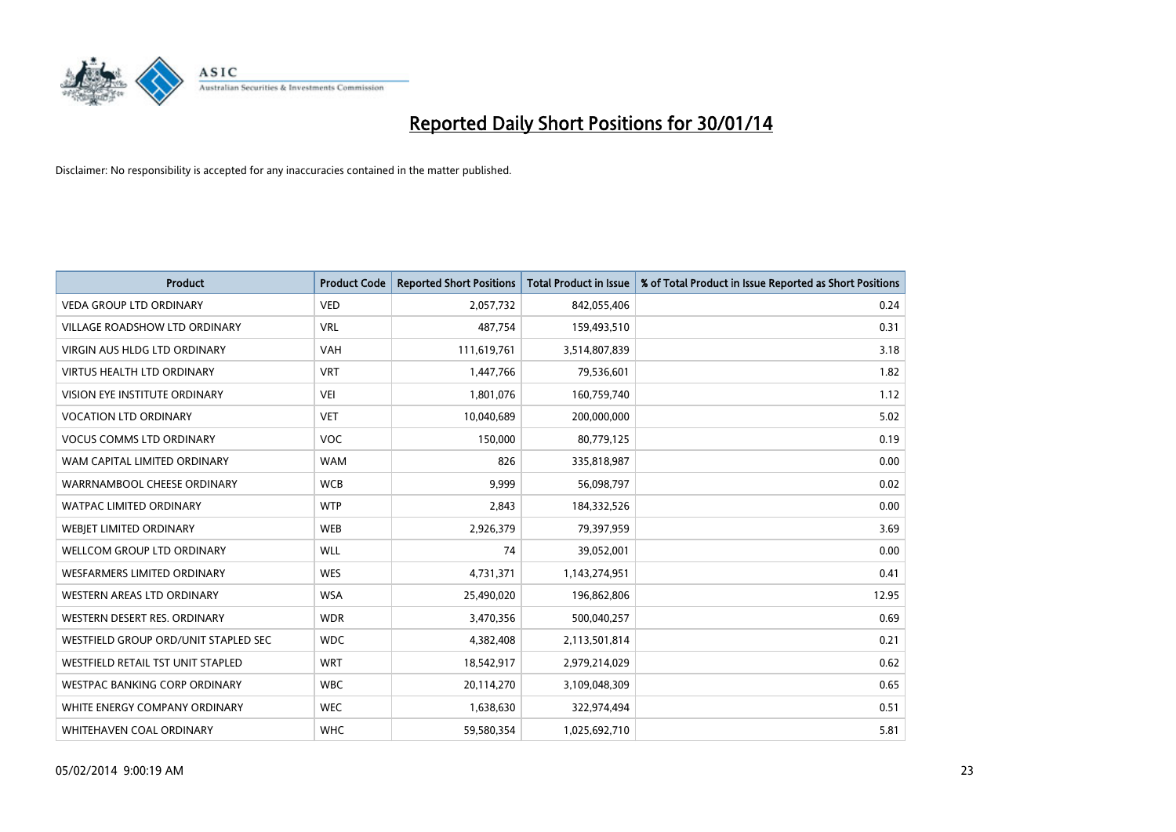

| <b>Product</b>                       | <b>Product Code</b> | <b>Reported Short Positions</b> | <b>Total Product in Issue</b> | % of Total Product in Issue Reported as Short Positions |
|--------------------------------------|---------------------|---------------------------------|-------------------------------|---------------------------------------------------------|
| <b>VEDA GROUP LTD ORDINARY</b>       | <b>VED</b>          | 2,057,732                       | 842,055,406                   | 0.24                                                    |
| <b>VILLAGE ROADSHOW LTD ORDINARY</b> | <b>VRL</b>          | 487,754                         | 159,493,510                   | 0.31                                                    |
| <b>VIRGIN AUS HLDG LTD ORDINARY</b>  | <b>VAH</b>          | 111,619,761                     | 3,514,807,839                 | 3.18                                                    |
| VIRTUS HEALTH LTD ORDINARY           | <b>VRT</b>          | 1,447,766                       | 79,536,601                    | 1.82                                                    |
| VISION EYE INSTITUTE ORDINARY        | <b>VEI</b>          | 1,801,076                       | 160,759,740                   | 1.12                                                    |
| <b>VOCATION LTD ORDINARY</b>         | <b>VET</b>          | 10,040,689                      | 200,000,000                   | 5.02                                                    |
| <b>VOCUS COMMS LTD ORDINARY</b>      | VOC                 | 150,000                         | 80,779,125                    | 0.19                                                    |
| WAM CAPITAL LIMITED ORDINARY         | <b>WAM</b>          | 826                             | 335,818,987                   | 0.00                                                    |
| WARRNAMBOOL CHEESE ORDINARY          | <b>WCB</b>          | 9,999                           | 56,098,797                    | 0.02                                                    |
| <b>WATPAC LIMITED ORDINARY</b>       | <b>WTP</b>          | 2,843                           | 184,332,526                   | 0.00                                                    |
| WEBIET LIMITED ORDINARY              | <b>WEB</b>          | 2,926,379                       | 79,397,959                    | 3.69                                                    |
| WELLCOM GROUP LTD ORDINARY           | <b>WLL</b>          | 74                              | 39,052,001                    | 0.00                                                    |
| WESFARMERS LIMITED ORDINARY          | <b>WES</b>          | 4,731,371                       | 1,143,274,951                 | 0.41                                                    |
| <b>WESTERN AREAS LTD ORDINARY</b>    | <b>WSA</b>          | 25,490,020                      | 196,862,806                   | 12.95                                                   |
| WESTERN DESERT RES. ORDINARY         | <b>WDR</b>          | 3,470,356                       | 500,040,257                   | 0.69                                                    |
| WESTFIELD GROUP ORD/UNIT STAPLED SEC | <b>WDC</b>          | 4,382,408                       | 2,113,501,814                 | 0.21                                                    |
| WESTFIELD RETAIL TST UNIT STAPLED    | <b>WRT</b>          | 18,542,917                      | 2,979,214,029                 | 0.62                                                    |
| WESTPAC BANKING CORP ORDINARY        | <b>WBC</b>          | 20,114,270                      | 3,109,048,309                 | 0.65                                                    |
| WHITE ENERGY COMPANY ORDINARY        | <b>WEC</b>          | 1,638,630                       | 322,974,494                   | 0.51                                                    |
| WHITEHAVEN COAL ORDINARY             | <b>WHC</b>          | 59,580,354                      | 1,025,692,710                 | 5.81                                                    |